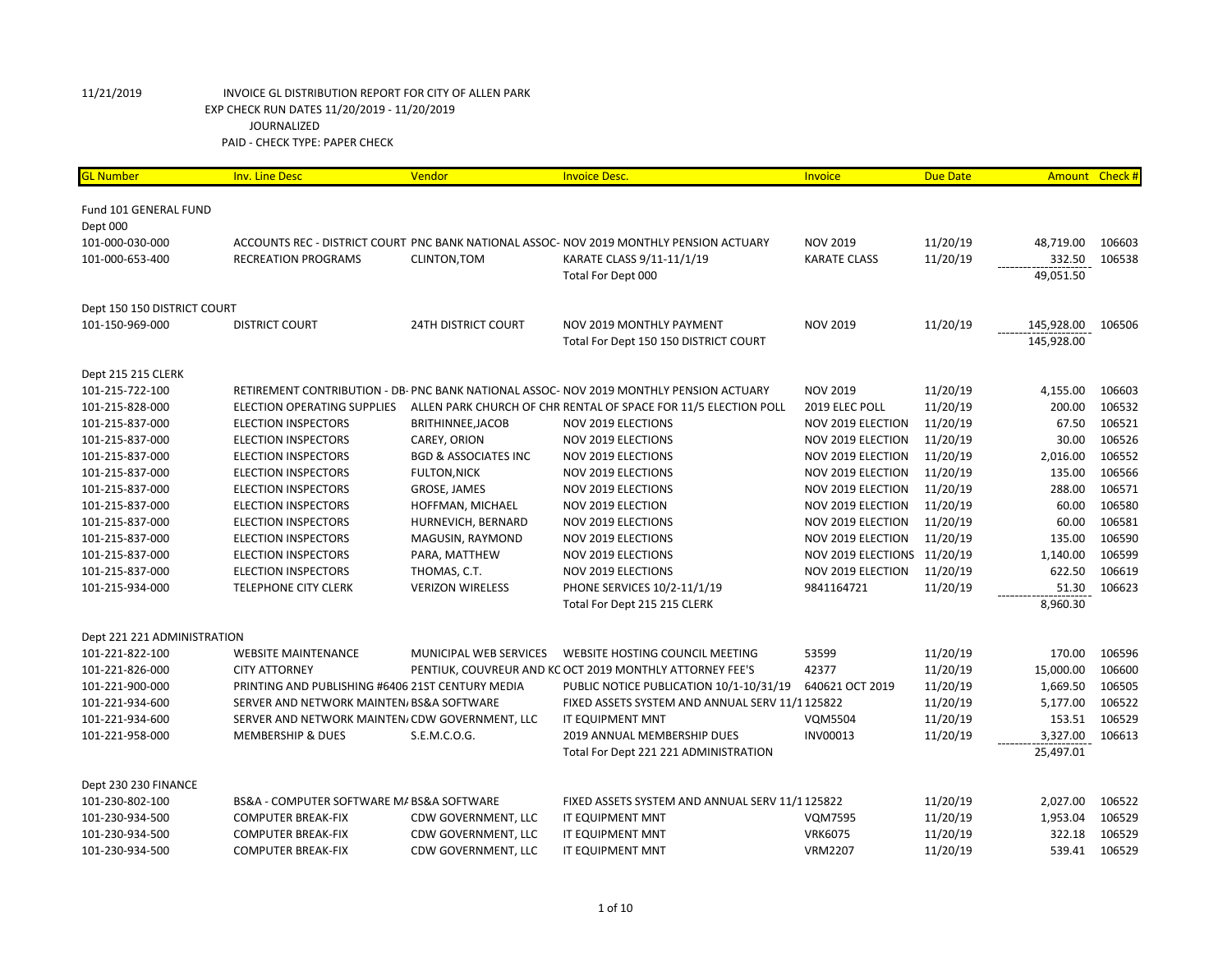| <b>GL Number</b>             | <b>Inv. Line Desc</b>                            | Vendor                          | <b>Invoice Desc.</b>                                                                    | Invoice                     | <b>Due Date</b> |            | Amount Check # |
|------------------------------|--------------------------------------------------|---------------------------------|-----------------------------------------------------------------------------------------|-----------------------------|-----------------|------------|----------------|
|                              |                                                  |                                 |                                                                                         |                             |                 |            |                |
| <b>Fund 101 GENERAL FUND</b> |                                                  |                                 |                                                                                         |                             |                 |            |                |
| Dept 000                     |                                                  |                                 |                                                                                         |                             |                 |            |                |
| 101-000-030-000              |                                                  |                                 | ACCOUNTS REC - DISTRICT COURT PNC BANK NATIONAL ASSOC- NOV 2019 MONTHLY PENSION ACTUARY | <b>NOV 2019</b>             | 11/20/19        | 48,719.00  | 106603         |
| 101-000-653-400              | <b>RECREATION PROGRAMS</b>                       | CLINTON, TOM                    | KARATE CLASS 9/11-11/1/19                                                               | <b>KARATE CLASS</b>         | 11/20/19        | 332.50     | 106538         |
|                              |                                                  |                                 | Total For Dept 000                                                                      |                             |                 | 49,051.50  |                |
| Dept 150 150 DISTRICT COURT  |                                                  |                                 |                                                                                         |                             |                 |            |                |
| 101-150-969-000              | <b>DISTRICT COURT</b>                            | <b>24TH DISTRICT COURT</b>      | NOV 2019 MONTHLY PAYMENT                                                                | <b>NOV 2019</b>             | 11/20/19        | 145,928.00 | 106506         |
|                              |                                                  |                                 | Total For Dept 150 150 DISTRICT COURT                                                   |                             |                 | 145,928.00 |                |
|                              |                                                  |                                 |                                                                                         |                             |                 |            |                |
| Dept 215 215 CLERK           |                                                  |                                 |                                                                                         |                             |                 |            |                |
| 101-215-722-100              |                                                  |                                 | RETIREMENT CONTRIBUTION - DB- PNC BANK NATIONAL ASSOC- NOV 2019 MONTHLY PENSION ACTUARY | <b>NOV 2019</b>             | 11/20/19        | 4,155.00   | 106603         |
| 101-215-828-000              | ELECTION OPERATING SUPPLIES                      |                                 | ALLEN PARK CHURCH OF CHR RENTAL OF SPACE FOR 11/5 ELECTION POLL                         | 2019 ELEC POLL              | 11/20/19        | 200.00     | 106532         |
| 101-215-837-000              | <b>ELECTION INSPECTORS</b>                       | BRITHINNEE, JACOB               | <b>NOV 2019 ELECTIONS</b>                                                               | NOV 2019 ELECTION           | 11/20/19        | 67.50      | 106521         |
| 101-215-837-000              | <b>ELECTION INSPECTORS</b>                       | CAREY, ORION                    | <b>NOV 2019 ELECTIONS</b>                                                               | NOV 2019 ELECTION           | 11/20/19        | 30.00      | 106526         |
| 101-215-837-000              | <b>ELECTION INSPECTORS</b>                       | <b>BGD &amp; ASSOCIATES INC</b> | <b>NOV 2019 ELECTIONS</b>                                                               | NOV 2019 ELECTION           | 11/20/19        | 2,016.00   | 106552         |
| 101-215-837-000              | <b>ELECTION INSPECTORS</b>                       | <b>FULTON, NICK</b>             | <b>NOV 2019 ELECTIONS</b>                                                               | NOV 2019 ELECTION           | 11/20/19        | 135.00     | 106566         |
| 101-215-837-000              | <b>ELECTION INSPECTORS</b>                       | GROSE, JAMES                    | <b>NOV 2019 ELECTIONS</b>                                                               | NOV 2019 ELECTION           | 11/20/19        | 288.00     | 106571         |
| 101-215-837-000              | <b>ELECTION INSPECTORS</b>                       | HOFFMAN, MICHAEL                | NOV 2019 ELECTION                                                                       | NOV 2019 ELECTION           | 11/20/19        | 60.00      | 106580         |
| 101-215-837-000              | <b>ELECTION INSPECTORS</b>                       | HURNEVICH, BERNARD              | <b>NOV 2019 ELECTIONS</b>                                                               | NOV 2019 ELECTION           | 11/20/19        | 60.00      | 106581         |
| 101-215-837-000              | <b>ELECTION INSPECTORS</b>                       | MAGUSIN, RAYMOND                | <b>NOV 2019 ELECTIONS</b>                                                               | NOV 2019 ELECTION           | 11/20/19        | 135.00     | 106590         |
| 101-215-837-000              | <b>ELECTION INSPECTORS</b>                       | PARA, MATTHEW                   | <b>NOV 2019 ELECTIONS</b>                                                               | NOV 2019 ELECTIONS 11/20/19 |                 | 1,140.00   | 106599         |
| 101-215-837-000              | <b>ELECTION INSPECTORS</b>                       | THOMAS, C.T.                    | <b>NOV 2019 ELECTIONS</b>                                                               | NOV 2019 ELECTION           | 11/20/19        | 622.50     | 106619         |
| 101-215-934-000              | <b>TELEPHONE CITY CLERK</b>                      | <b>VERIZON WIRELESS</b>         | PHONE SERVICES 10/2-11/1/19                                                             | 9841164721                  | 11/20/19        | 51.30      | 106623         |
|                              |                                                  |                                 | Total For Dept 215 215 CLERK                                                            |                             |                 | 8,960.30   |                |
| Dept 221 221 ADMINISTRATION  |                                                  |                                 |                                                                                         |                             |                 |            |                |
| 101-221-822-100              | <b>WEBSITE MAINTENANCE</b>                       | MUNICIPAL WEB SERVICES          | WEBSITE HOSTING COUNCIL MEETING                                                         | 53599                       | 11/20/19        | 170.00     | 106596         |
| 101-221-826-000              | <b>CITY ATTORNEY</b>                             |                                 | PENTIUK, COUVREUR AND KC OCT 2019 MONTHLY ATTORNEY FEE'S                                | 42377                       | 11/20/19        | 15,000.00  | 106600         |
| 101-221-900-000              | PRINTING AND PUBLISHING #6406 21ST CENTURY MEDIA |                                 | PUBLIC NOTICE PUBLICATION 10/1-10/31/19                                                 | 640621 OCT 2019             | 11/20/19        | 1,669.50   | 106505         |
| 101-221-934-600              | SERVER AND NETWORK MAINTEN/ BS&A SOFTWARE        |                                 | FIXED ASSETS SYSTEM AND ANNUAL SERV 11/1125822                                          |                             | 11/20/19        | 5,177.00   | 106522         |
| 101-221-934-600              | SERVER AND NETWORK MAINTEN/ CDW GOVERNMENT, LLC  |                                 | IT EQUIPMENT MNT                                                                        | <b>VQM5504</b>              | 11/20/19        | 153.51     | 106529         |
| 101-221-958-000              | <b>MEMBERSHIP &amp; DUES</b>                     | S.E.M.C.O.G.                    | 2019 ANNUAL MEMBERSHIP DUES                                                             | <b>INV00013</b>             | 11/20/19        | 3,327.00   | 106613         |
|                              |                                                  |                                 | Total For Dept 221 221 ADMINISTRATION                                                   |                             |                 | 25,497.01  |                |
|                              |                                                  |                                 |                                                                                         |                             |                 |            |                |
| Dept 230 230 FINANCE         |                                                  |                                 |                                                                                         |                             |                 |            |                |
| 101-230-802-100              | BS&A - COMPUTER SOFTWARE M/ BS&A SOFTWARE        |                                 | FIXED ASSETS SYSTEM AND ANNUAL SERV 11/1125822                                          |                             | 11/20/19        | 2,027.00   | 106522         |
| 101-230-934-500              | <b>COMPUTER BREAK-FIX</b>                        | CDW GOVERNMENT, LLC             | IT EQUIPMENT MNT                                                                        | <b>VQM7595</b>              | 11/20/19        | 1,953.04   | 106529         |
| 101-230-934-500              | <b>COMPUTER BREAK-FIX</b>                        | CDW GOVERNMENT, LLC             | IT EQUIPMENT MNT                                                                        | <b>VRK6075</b>              | 11/20/19        | 322.18     | 106529         |
| 101-230-934-500              | <b>COMPUTER BREAK-FIX</b>                        | CDW GOVERNMENT, LLC             | IT EQUIPMENT MNT                                                                        | <b>VRM2207</b>              | 11/20/19        | 539.41     | 106529         |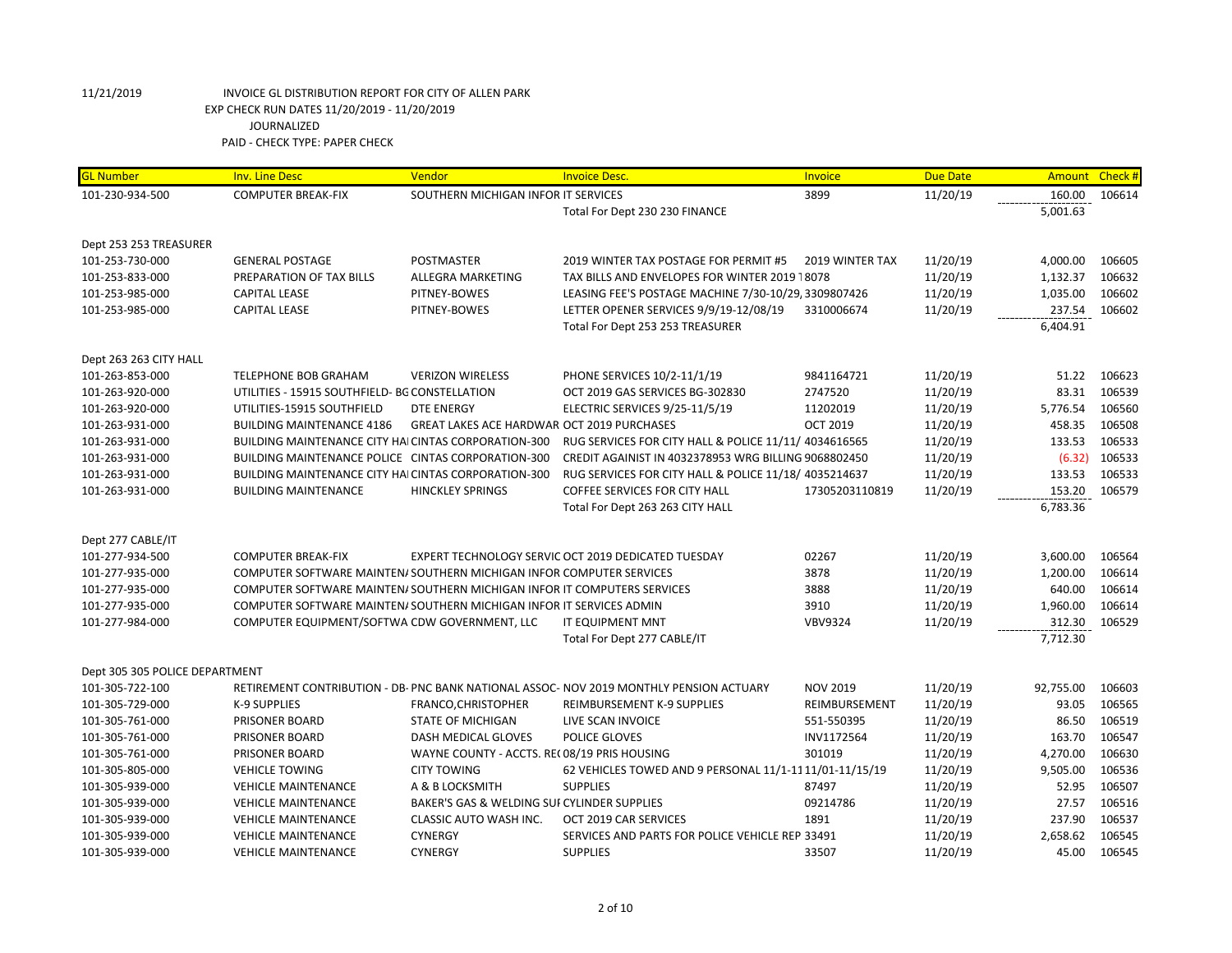| 101-230-934-500<br>SOUTHERN MICHIGAN INFOR IT SERVICES<br>3899<br>11/20/19<br>160.00<br>106614<br><b>COMPUTER BREAK-FIX</b><br>Total For Dept 230 230 FINANCE<br>5,001.63<br>Dept 253 253 TREASURER<br>POSTMASTER<br>11/20/19<br>4,000.00<br>106605<br>101-253-730-000<br><b>GENERAL POSTAGE</b><br>2019 WINTER TAX POSTAGE FOR PERMIT #5<br>2019 WINTER TAX<br>11/20/19<br>1,132.37<br>106632<br>101-253-833-000<br>PREPARATION OF TAX BILLS<br>ALLEGRA MARKETING<br>TAX BILLS AND ENVELOPES FOR WINTER 2019 18078<br>11/20/19<br>1,035.00<br>106602<br>101-253-985-000<br><b>CAPITAL LEASE</b><br>PITNEY-BOWES<br>LEASING FEE'S POSTAGE MACHINE 7/30-10/29, 3309807426<br>11/20/19<br>101-253-985-000<br><b>CAPITAL LEASE</b><br>PITNEY-BOWES<br>LETTER OPENER SERVICES 9/9/19-12/08/19<br>3310006674<br>237.54<br>106602<br>Total For Dept 253 253 TREASURER<br>6,404.91<br>Dept 263 263 CITY HALL |
|-------------------------------------------------------------------------------------------------------------------------------------------------------------------------------------------------------------------------------------------------------------------------------------------------------------------------------------------------------------------------------------------------------------------------------------------------------------------------------------------------------------------------------------------------------------------------------------------------------------------------------------------------------------------------------------------------------------------------------------------------------------------------------------------------------------------------------------------------------------------------------------------------------|
|                                                                                                                                                                                                                                                                                                                                                                                                                                                                                                                                                                                                                                                                                                                                                                                                                                                                                                       |
|                                                                                                                                                                                                                                                                                                                                                                                                                                                                                                                                                                                                                                                                                                                                                                                                                                                                                                       |
|                                                                                                                                                                                                                                                                                                                                                                                                                                                                                                                                                                                                                                                                                                                                                                                                                                                                                                       |
|                                                                                                                                                                                                                                                                                                                                                                                                                                                                                                                                                                                                                                                                                                                                                                                                                                                                                                       |
|                                                                                                                                                                                                                                                                                                                                                                                                                                                                                                                                                                                                                                                                                                                                                                                                                                                                                                       |
|                                                                                                                                                                                                                                                                                                                                                                                                                                                                                                                                                                                                                                                                                                                                                                                                                                                                                                       |
|                                                                                                                                                                                                                                                                                                                                                                                                                                                                                                                                                                                                                                                                                                                                                                                                                                                                                                       |
|                                                                                                                                                                                                                                                                                                                                                                                                                                                                                                                                                                                                                                                                                                                                                                                                                                                                                                       |
|                                                                                                                                                                                                                                                                                                                                                                                                                                                                                                                                                                                                                                                                                                                                                                                                                                                                                                       |
|                                                                                                                                                                                                                                                                                                                                                                                                                                                                                                                                                                                                                                                                                                                                                                                                                                                                                                       |
| 11/20/19<br>51.22<br>106623<br>101-263-853-000<br><b>TELEPHONE BOB GRAHAM</b><br><b>VERIZON WIRELESS</b><br>PHONE SERVICES 10/2-11/1/19<br>9841164721                                                                                                                                                                                                                                                                                                                                                                                                                                                                                                                                                                                                                                                                                                                                                 |
| 83.31<br>106539<br>UTILITIES - 15915 SOUTHFIELD- BG CONSTELLATION<br>OCT 2019 GAS SERVICES BG-302830<br>2747520<br>11/20/19<br>101-263-920-000                                                                                                                                                                                                                                                                                                                                                                                                                                                                                                                                                                                                                                                                                                                                                        |
| 5,776.54<br>106560<br>101-263-920-000<br>UTILITIES-15915 SOUTHFIELD<br><b>DTE ENERGY</b><br>ELECTRIC SERVICES 9/25-11/5/19<br>11202019<br>11/20/19                                                                                                                                                                                                                                                                                                                                                                                                                                                                                                                                                                                                                                                                                                                                                    |
| 458.35<br>106508<br>101-263-931-000<br><b>BUILDING MAINTENANCE 4186</b><br>GREAT LAKES ACE HARDWAR OCT 2019 PURCHASES<br><b>OCT 2019</b><br>11/20/19                                                                                                                                                                                                                                                                                                                                                                                                                                                                                                                                                                                                                                                                                                                                                  |
| 106533<br>11/20/19<br>133.53<br>101-263-931-000<br><b>BUILDING MAINTENANCE CITY HAI CINTAS CORPORATION-300</b><br>RUG SERVICES FOR CITY HALL & POLICE 11/11/ 4034616565                                                                                                                                                                                                                                                                                                                                                                                                                                                                                                                                                                                                                                                                                                                               |
| (6.32)<br>106533<br>101-263-931-000<br>BUILDING MAINTENANCE POLICE CINTAS CORPORATION-300<br>CREDIT AGAINIST IN 4032378953 WRG BILLING 9068802450<br>11/20/19                                                                                                                                                                                                                                                                                                                                                                                                                                                                                                                                                                                                                                                                                                                                         |
| 133.53<br>106533<br><b>BUILDING MAINTENANCE CITY HAI CINTAS CORPORATION-300</b><br>RUG SERVICES FOR CITY HALL & POLICE 11/18/ 4035214637<br>11/20/19<br>101-263-931-000                                                                                                                                                                                                                                                                                                                                                                                                                                                                                                                                                                                                                                                                                                                               |
| <b>BUILDING MAINTENANCE</b><br><b>HINCKLEY SPRINGS</b><br>COFFEE SERVICES FOR CITY HALL<br>17305203110819<br>11/20/19<br>153.20<br>106579<br>101-263-931-000                                                                                                                                                                                                                                                                                                                                                                                                                                                                                                                                                                                                                                                                                                                                          |
| 6,783.36<br>Total For Dept 263 263 CITY HALL                                                                                                                                                                                                                                                                                                                                                                                                                                                                                                                                                                                                                                                                                                                                                                                                                                                          |
|                                                                                                                                                                                                                                                                                                                                                                                                                                                                                                                                                                                                                                                                                                                                                                                                                                                                                                       |
| Dept 277 CABLE/IT                                                                                                                                                                                                                                                                                                                                                                                                                                                                                                                                                                                                                                                                                                                                                                                                                                                                                     |
| 101-277-934-500<br><b>COMPUTER BREAK-FIX</b><br>EXPERT TECHNOLOGY SERVIC OCT 2019 DEDICATED TUESDAY<br>02267<br>11/20/19<br>3,600.00<br>106564                                                                                                                                                                                                                                                                                                                                                                                                                                                                                                                                                                                                                                                                                                                                                        |
| 101-277-935-000<br>COMPUTER SOFTWARE MAINTEN/SOUTHERN MICHIGAN INFOR COMPUTER SERVICES<br>3878<br>11/20/19<br>1,200.00<br>106614                                                                                                                                                                                                                                                                                                                                                                                                                                                                                                                                                                                                                                                                                                                                                                      |
| 3888<br>11/20/19<br>640.00<br>106614<br>101-277-935-000<br>COMPUTER SOFTWARE MAINTEN/ SOUTHERN MICHIGAN INFOR IT COMPUTERS SERVICES                                                                                                                                                                                                                                                                                                                                                                                                                                                                                                                                                                                                                                                                                                                                                                   |
| 11/20/19<br>1,960.00<br>106614<br>101-277-935-000<br>COMPUTER SOFTWARE MAINTEN/SOUTHERN MICHIGAN INFOR IT SERVICES ADMIN<br>3910                                                                                                                                                                                                                                                                                                                                                                                                                                                                                                                                                                                                                                                                                                                                                                      |
| <b>IT EQUIPMENT MNT</b><br><b>VBV9324</b><br>11/20/19<br>312.30<br>106529<br>101-277-984-000<br>COMPUTER EQUIPMENT/SOFTWA CDW GOVERNMENT, LLC                                                                                                                                                                                                                                                                                                                                                                                                                                                                                                                                                                                                                                                                                                                                                         |
| Total For Dept 277 CABLE/IT<br>7,712.30                                                                                                                                                                                                                                                                                                                                                                                                                                                                                                                                                                                                                                                                                                                                                                                                                                                               |
| Dept 305 305 POLICE DEPARTMENT                                                                                                                                                                                                                                                                                                                                                                                                                                                                                                                                                                                                                                                                                                                                                                                                                                                                        |
| 11/20/19<br>92,755.00<br>101-305-722-100<br>RETIREMENT CONTRIBUTION - DB- PNC BANK NATIONAL ASSOC- NOV 2019 MONTHLY PENSION ACTUARY<br><b>NOV 2019</b><br>106603                                                                                                                                                                                                                                                                                                                                                                                                                                                                                                                                                                                                                                                                                                                                      |
| 93.05<br>106565<br>101-305-729-000<br>K-9 SUPPLIES<br>FRANCO, CHRISTOPHER<br>REIMBURSEMENT K-9 SUPPLIES<br>REIMBURSEMENT<br>11/20/19                                                                                                                                                                                                                                                                                                                                                                                                                                                                                                                                                                                                                                                                                                                                                                  |
| 86.50<br>106519<br>101-305-761-000<br>PRISONER BOARD<br><b>STATE OF MICHIGAN</b><br>LIVE SCAN INVOICE<br>551-550395<br>11/20/19                                                                                                                                                                                                                                                                                                                                                                                                                                                                                                                                                                                                                                                                                                                                                                       |
| 106547<br>POLICE GLOVES<br>INV1172564<br>11/20/19<br>163.70<br>101-305-761-000<br>PRISONER BOARD<br>DASH MEDICAL GLOVES                                                                                                                                                                                                                                                                                                                                                                                                                                                                                                                                                                                                                                                                                                                                                                               |
| WAYNE COUNTY - ACCTS. RE(08/19 PRIS HOUSING<br>301019<br>11/20/19<br>4,270.00<br>106630<br>101-305-761-000<br>PRISONER BOARD                                                                                                                                                                                                                                                                                                                                                                                                                                                                                                                                                                                                                                                                                                                                                                          |
| 9,505.00<br>62 VEHICLES TOWED AND 9 PERSONAL 11/1-11 11/01-11/15/19<br>11/20/19<br>106536<br>101-305-805-000<br><b>VEHICLE TOWING</b><br><b>CITY TOWING</b>                                                                                                                                                                                                                                                                                                                                                                                                                                                                                                                                                                                                                                                                                                                                           |
| 106507<br>A & B LOCKSMITH<br><b>SUPPLIES</b><br>87497<br>11/20/19<br>52.95<br>101-305-939-000<br><b>VEHICLE MAINTENANCE</b>                                                                                                                                                                                                                                                                                                                                                                                                                                                                                                                                                                                                                                                                                                                                                                           |
| 27.57<br>106516<br>101-305-939-000<br><b>VEHICLE MAINTENANCE</b><br>BAKER'S GAS & WELDING SUI CYLINDER SUPPLIES<br>09214786<br>11/20/19                                                                                                                                                                                                                                                                                                                                                                                                                                                                                                                                                                                                                                                                                                                                                               |
| 237.90<br>106537<br>CLASSIC AUTO WASH INC.<br>OCT 2019 CAR SERVICES<br>1891<br>11/20/19<br>101-305-939-000<br><b>VEHICLE MAINTENANCE</b>                                                                                                                                                                                                                                                                                                                                                                                                                                                                                                                                                                                                                                                                                                                                                              |
| 2,658.62<br>106545<br>101-305-939-000<br><b>VEHICLE MAINTENANCE</b><br><b>CYNERGY</b><br>SERVICES AND PARTS FOR POLICE VEHICLE REP. 33491<br>11/20/19                                                                                                                                                                                                                                                                                                                                                                                                                                                                                                                                                                                                                                                                                                                                                 |
| <b>SUPPLIES</b><br>11/20/19<br>45.00<br>106545<br>101-305-939-000<br><b>VEHICLE MAINTENANCE</b><br><b>CYNERGY</b><br>33507                                                                                                                                                                                                                                                                                                                                                                                                                                                                                                                                                                                                                                                                                                                                                                            |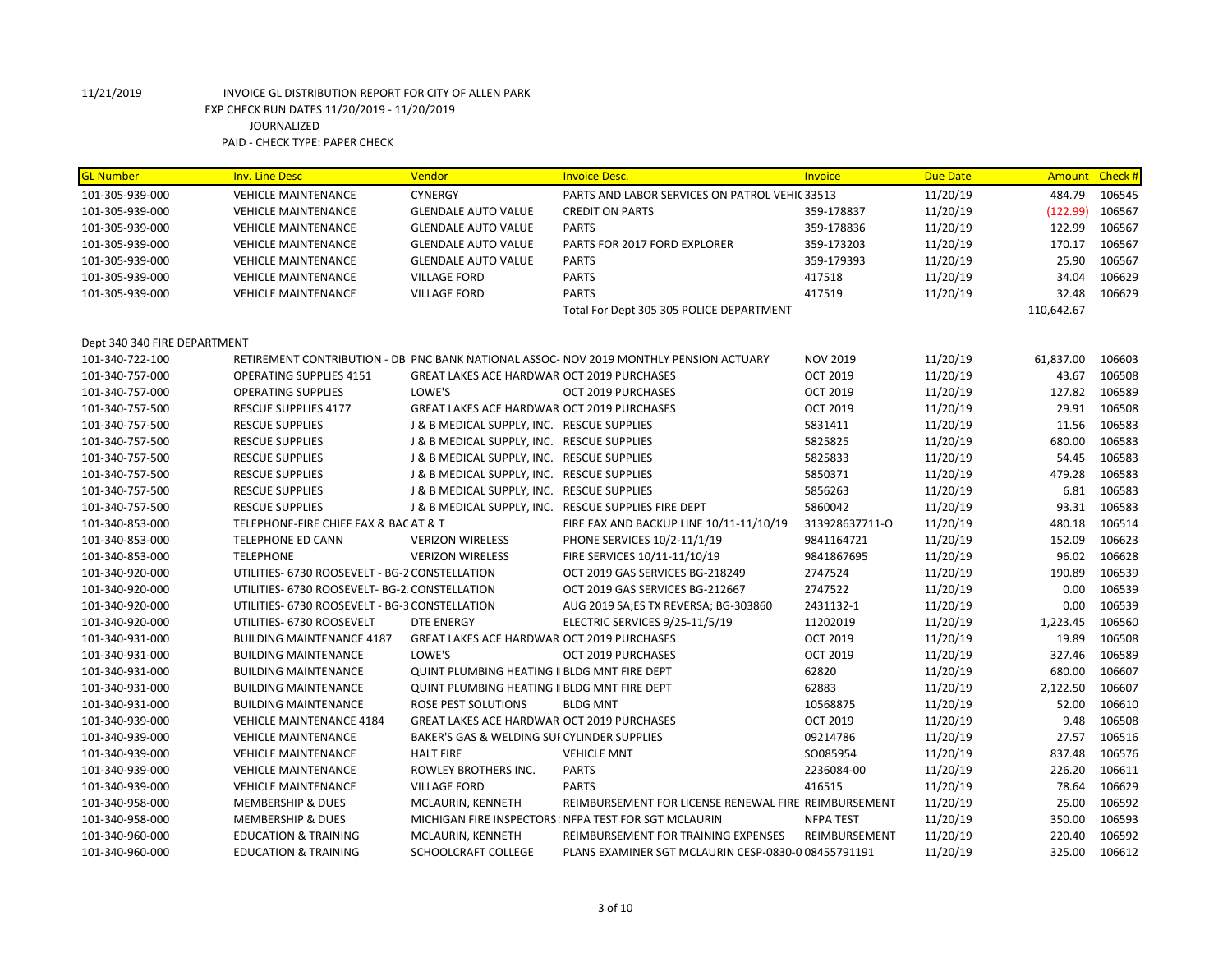| <b>GL Number</b>             | <b>Inv. Line Desc</b>                          | Vendor                                              | <b>Invoice Desc.</b>                                                                  | Invoice          | <b>Due Date</b> | Amount     | Check # |
|------------------------------|------------------------------------------------|-----------------------------------------------------|---------------------------------------------------------------------------------------|------------------|-----------------|------------|---------|
| 101-305-939-000              | <b>VEHICLE MAINTENANCE</b>                     | <b>CYNERGY</b>                                      | PARTS AND LABOR SERVICES ON PATROL VEHIC 33513                                        |                  | 11/20/19        | 484.79     | 106545  |
| 101-305-939-000              | <b>VEHICLE MAINTENANCE</b>                     | <b>GLENDALE AUTO VALUE</b>                          | <b>CREDIT ON PARTS</b>                                                                | 359-178837       | 11/20/19        | (122.99)   | 106567  |
| 101-305-939-000              | <b>VEHICLE MAINTENANCE</b>                     | <b>GLENDALE AUTO VALUE</b>                          | <b>PARTS</b>                                                                          | 359-178836       | 11/20/19        | 122.99     | 106567  |
| 101-305-939-000              | <b>VEHICLE MAINTENANCE</b>                     | <b>GLENDALE AUTO VALUE</b>                          | PARTS FOR 2017 FORD EXPLORER                                                          | 359-173203       | 11/20/19        | 170.17     | 106567  |
| 101-305-939-000              | <b>VEHICLE MAINTENANCE</b>                     | <b>GLENDALE AUTO VALUE</b>                          | <b>PARTS</b>                                                                          | 359-179393       | 11/20/19        | 25.90      | 106567  |
| 101-305-939-000              | <b>VEHICLE MAINTENANCE</b>                     | <b>VILLAGE FORD</b>                                 | <b>PARTS</b>                                                                          | 417518           | 11/20/19        | 34.04      | 106629  |
| 101-305-939-000              | <b>VEHICLE MAINTENANCE</b>                     | <b>VILLAGE FORD</b>                                 | <b>PARTS</b>                                                                          | 417519           | 11/20/19        | 32.48      | 106629  |
|                              |                                                |                                                     | Total For Dept 305 305 POLICE DEPARTMENT                                              |                  |                 | 110,642.67 |         |
| Dept 340 340 FIRE DEPARTMENT |                                                |                                                     |                                                                                       |                  |                 |            |         |
| 101-340-722-100              |                                                |                                                     | RETIREMENT CONTRIBUTION - DB PNC BANK NATIONAL ASSOC-NOV 2019 MONTHLY PENSION ACTUARY | <b>NOV 2019</b>  | 11/20/19        | 61,837.00  | 106603  |
| 101-340-757-000              | <b>OPERATING SUPPLIES 4151</b>                 | <b>GREAT LAKES ACE HARDWAR OCT 2019 PURCHASES</b>   |                                                                                       | <b>OCT 2019</b>  | 11/20/19        | 43.67      | 106508  |
| 101-340-757-000              | <b>OPERATING SUPPLIES</b>                      | LOWE'S                                              | OCT 2019 PURCHASES                                                                    | <b>OCT 2019</b>  | 11/20/19        | 127.82     | 106589  |
| 101-340-757-500              | RESCUE SUPPLIES 4177                           | <b>GREAT LAKES ACE HARDWAR OCT 2019 PURCHASES</b>   |                                                                                       | <b>OCT 2019</b>  | 11/20/19        | 29.91      | 106508  |
| 101-340-757-500              | <b>RESCUE SUPPLIES</b>                         | J & B MEDICAL SUPPLY, INC. RESCUE SUPPLIES          |                                                                                       | 5831411          | 11/20/19        | 11.56      | 106583  |
| 101-340-757-500              | <b>RESCUE SUPPLIES</b>                         | J & B MEDICAL SUPPLY, INC. RESCUE SUPPLIES          |                                                                                       | 5825825          | 11/20/19        | 680.00     | 106583  |
| 101-340-757-500              | <b>RESCUE SUPPLIES</b>                         | J & B MEDICAL SUPPLY, INC. RESCUE SUPPLIES          |                                                                                       | 5825833          | 11/20/19        | 54.45      | 106583  |
| 101-340-757-500              | <b>RESCUE SUPPLIES</b>                         | J & B MEDICAL SUPPLY, INC. RESCUE SUPPLIES          |                                                                                       | 5850371          | 11/20/19        | 479.28     | 106583  |
| 101-340-757-500              | <b>RESCUE SUPPLIES</b>                         | J & B MEDICAL SUPPLY, INC. RESCUE SUPPLIES          |                                                                                       | 5856263          | 11/20/19        | 6.81       | 106583  |
| 101-340-757-500              | <b>RESCUE SUPPLIES</b>                         |                                                     | J & B MEDICAL SUPPLY, INC. RESCUE SUPPLIES FIRE DEPT                                  | 5860042          | 11/20/19        | 93.31      | 106583  |
| 101-340-853-000              | TELEPHONE-FIRE CHIEF FAX & BAC AT & T          |                                                     | FIRE FAX AND BACKUP LINE 10/11-11/10/19                                               | 313928637711-0   | 11/20/19        | 480.18     | 106514  |
| 101-340-853-000              | <b>TELEPHONE ED CANN</b>                       | <b>VERIZON WIRELESS</b>                             | PHONE SERVICES 10/2-11/1/19                                                           | 9841164721       | 11/20/19        | 152.09     | 106623  |
| 101-340-853-000              | <b>TELEPHONE</b>                               | <b>VERIZON WIRELESS</b>                             | FIRE SERVICES 10/11-11/10/19                                                          | 9841867695       | 11/20/19        | 96.02      | 106628  |
| 101-340-920-000              | UTILITIES- 6730 ROOSEVELT - BG-2 CONSTELLATION |                                                     | OCT 2019 GAS SERVICES BG-218249                                                       | 2747524          | 11/20/19        | 190.89     | 106539  |
| 101-340-920-000              | UTILITIES- 6730 ROOSEVELT- BG-2: CONSTELLATION |                                                     | OCT 2019 GAS SERVICES BG-212667                                                       | 2747522          | 11/20/19        | 0.00       | 106539  |
| 101-340-920-000              | UTILITIES- 6730 ROOSEVELT - BG-3 CONSTELLATION |                                                     | AUG 2019 SA; ES TX REVERSA; BG-303860                                                 | 2431132-1        | 11/20/19        | 0.00       | 106539  |
| 101-340-920-000              | UTILITIES- 6730 ROOSEVELT                      | <b>DTE ENERGY</b>                                   | ELECTRIC SERVICES 9/25-11/5/19                                                        | 11202019         | 11/20/19        | 1,223.45   | 106560  |
| 101-340-931-000              | <b>BUILDING MAINTENANCE 4187</b>               | GREAT LAKES ACE HARDWAR OCT 2019 PURCHASES          |                                                                                       | <b>OCT 2019</b>  | 11/20/19        | 19.89      | 106508  |
| 101-340-931-000              | <b>BUILDING MAINTENANCE</b>                    | LOWE'S                                              | OCT 2019 PURCHASES                                                                    | <b>OCT 2019</b>  | 11/20/19        | 327.46     | 106589  |
| 101-340-931-000              | <b>BUILDING MAINTENANCE</b>                    | <b>QUINT PLUMBING HEATING II BLDG MNT FIRE DEPT</b> |                                                                                       | 62820            | 11/20/19        | 680.00     | 106607  |
| 101-340-931-000              | <b>BUILDING MAINTENANCE</b>                    | <b>QUINT PLUMBING HEATING II BLDG MNT FIRE DEPT</b> |                                                                                       | 62883            | 11/20/19        | 2,122.50   | 106607  |
| 101-340-931-000              | <b>BUILDING MAINTENANCE</b>                    | ROSE PEST SOLUTIONS                                 | <b>BLDG MNT</b>                                                                       | 10568875         | 11/20/19        | 52.00      | 106610  |
| 101-340-939-000              | <b>VEHICLE MAINTENANCE 4184</b>                | <b>GREAT LAKES ACE HARDWAR OCT 2019 PURCHASES</b>   |                                                                                       | <b>OCT 2019</b>  | 11/20/19        | 9.48       | 106508  |
| 101-340-939-000              | <b>VEHICLE MAINTENANCE</b>                     | BAKER'S GAS & WELDING SUI CYLINDER SUPPLIES         |                                                                                       | 09214786         | 11/20/19        | 27.57      | 106516  |
| 101-340-939-000              | <b>VEHICLE MAINTENANCE</b>                     | <b>HALT FIRE</b>                                    | <b>VEHICLE MNT</b>                                                                    | SO085954         | 11/20/19        | 837.48     | 106576  |
| 101-340-939-000              | <b>VEHICLE MAINTENANCE</b>                     | ROWLEY BROTHERS INC.                                | <b>PARTS</b>                                                                          | 2236084-00       | 11/20/19        | 226.20     | 106611  |
| 101-340-939-000              | <b>VEHICLE MAINTENANCE</b>                     | <b>VILLAGE FORD</b>                                 | <b>PARTS</b>                                                                          | 416515           | 11/20/19        | 78.64      | 106629  |
| 101-340-958-000              | <b>MEMBERSHIP &amp; DUES</b>                   | MCLAURIN, KENNETH                                   | REIMBURSEMENT FOR LICENSE RENEWAL FIRE REIMBURSEMENT                                  |                  | 11/20/19        | 25.00      | 106592  |
| 101-340-958-000              | <b>MEMBERSHIP &amp; DUES</b>                   |                                                     | MICHIGAN FIRE INSPECTORS: NFPA TEST FOR SGT MCLAURIN                                  | <b>NFPA TEST</b> | 11/20/19        | 350.00     | 106593  |
| 101-340-960-000              |                                                |                                                     | REIMBURSEMENT FOR TRAINING EXPENSES                                                   | REIMBURSEMENT    | 11/20/19        | 220.40     | 106592  |
|                              | <b>EDUCATION &amp; TRAINING</b>                | MCLAURIN, KENNETH                                   |                                                                                       |                  |                 |            |         |
| 101-340-960-000              | <b>EDUCATION &amp; TRAINING</b>                | SCHOOLCRAFT COLLEGE                                 | PLANS EXAMINER SGT MCLAURIN CESP-0830-0 08455791191                                   |                  | 11/20/19        | 325.00     | 106612  |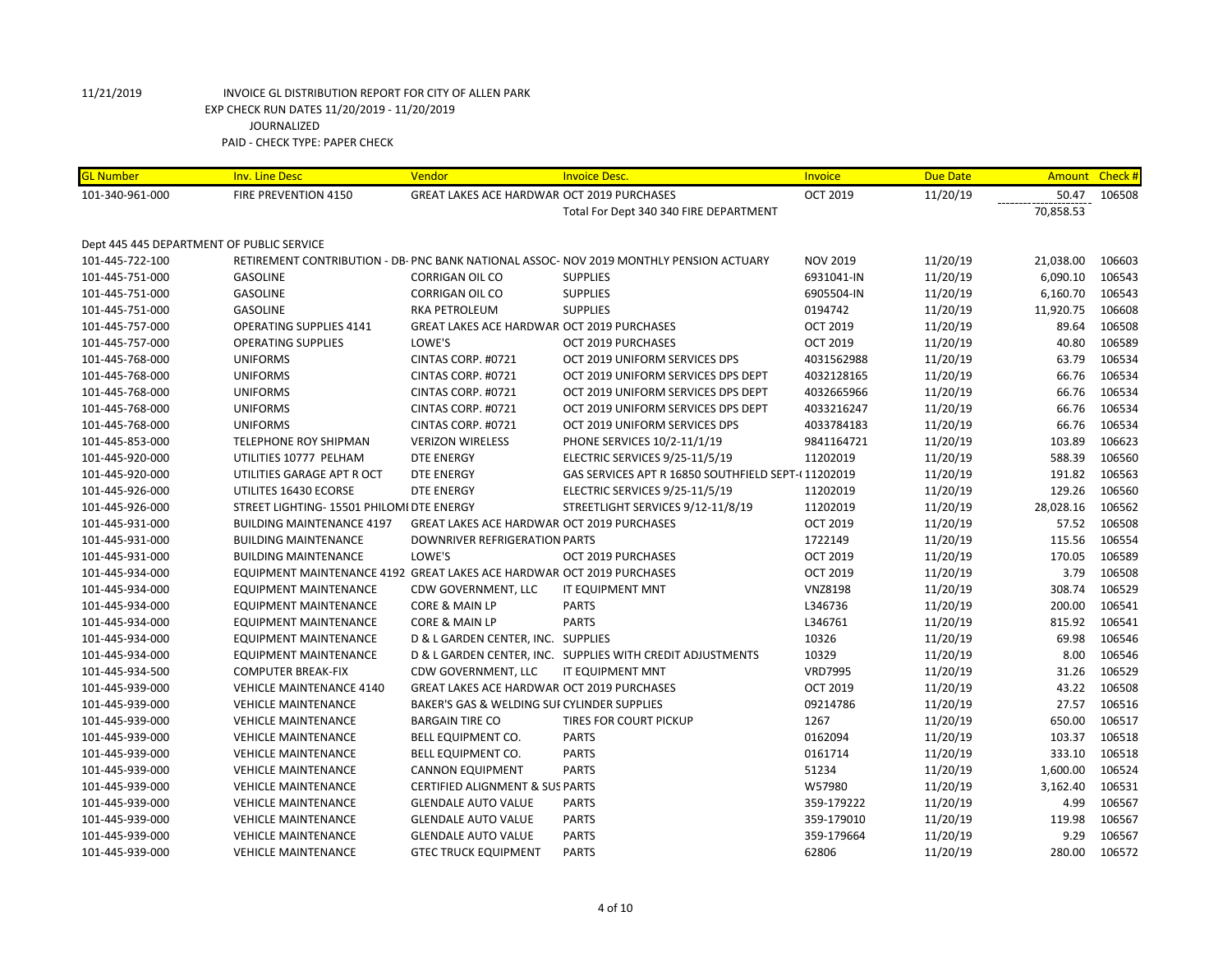| <b>GL Number</b>                          | <b>Inv. Line Desc</b>                                                 | Vendor                                            | <b>Invoice Desc.</b>                                                                    | Invoice         | <b>Due Date</b> | Amount Check # |        |
|-------------------------------------------|-----------------------------------------------------------------------|---------------------------------------------------|-----------------------------------------------------------------------------------------|-----------------|-----------------|----------------|--------|
| 101-340-961-000                           | <b>FIRE PREVENTION 4150</b>                                           | <b>GREAT LAKES ACE HARDWAR OCT 2019 PURCHASES</b> |                                                                                         | <b>OCT 2019</b> | 11/20/19        | 50.47          | 106508 |
|                                           |                                                                       |                                                   | Total For Dept 340 340 FIRE DEPARTMENT                                                  |                 |                 | 70,858.53      |        |
|                                           |                                                                       |                                                   |                                                                                         |                 |                 |                |        |
| Dept 445 445 DEPARTMENT OF PUBLIC SERVICE |                                                                       |                                                   |                                                                                         |                 |                 |                |        |
| 101-445-722-100                           |                                                                       |                                                   | RETIREMENT CONTRIBUTION - DB- PNC BANK NATIONAL ASSOC- NOV 2019 MONTHLY PENSION ACTUARY | <b>NOV 2019</b> | 11/20/19        | 21,038.00      | 106603 |
| 101-445-751-000                           | <b>GASOLINE</b>                                                       | <b>CORRIGAN OIL CO</b>                            | <b>SUPPLIES</b>                                                                         | 6931041-IN      | 11/20/19        | 6,090.10       | 106543 |
| 101-445-751-000                           | GASOLINE                                                              | <b>CORRIGAN OIL CO</b>                            | <b>SUPPLIES</b>                                                                         | 6905504-IN      | 11/20/19        | 6,160.70       | 106543 |
| 101-445-751-000                           | <b>GASOLINE</b>                                                       | RKA PETROLEUM                                     | <b>SUPPLIES</b>                                                                         | 0194742         | 11/20/19        | 11,920.75      | 106608 |
| 101-445-757-000                           | <b>OPERATING SUPPLIES 4141</b>                                        | <b>GREAT LAKES ACE HARDWAR OCT 2019 PURCHASES</b> |                                                                                         | <b>OCT 2019</b> | 11/20/19        | 89.64          | 106508 |
| 101-445-757-000                           | <b>OPERATING SUPPLIES</b>                                             | LOWE'S                                            | OCT 2019 PURCHASES                                                                      | <b>OCT 2019</b> | 11/20/19        | 40.80          | 106589 |
| 101-445-768-000                           | <b>UNIFORMS</b>                                                       | CINTAS CORP. #0721                                | OCT 2019 UNIFORM SERVICES DPS                                                           | 4031562988      | 11/20/19        | 63.79          | 106534 |
| 101-445-768-000                           | <b>UNIFORMS</b>                                                       | CINTAS CORP. #0721                                | OCT 2019 UNIFORM SERVICES DPS DEPT                                                      | 4032128165      | 11/20/19        | 66.76          | 106534 |
| 101-445-768-000                           | <b>UNIFORMS</b>                                                       | CINTAS CORP. #0721                                | OCT 2019 UNIFORM SERVICES DPS DEPT                                                      | 4032665966      | 11/20/19        | 66.76          | 106534 |
| 101-445-768-000                           | <b>UNIFORMS</b>                                                       | CINTAS CORP. #0721                                | OCT 2019 UNIFORM SERVICES DPS DEPT                                                      | 4033216247      | 11/20/19        | 66.76          | 106534 |
| 101-445-768-000                           | <b>UNIFORMS</b>                                                       | CINTAS CORP. #0721                                | OCT 2019 UNIFORM SERVICES DPS                                                           | 4033784183      | 11/20/19        | 66.76          | 106534 |
| 101-445-853-000                           | TELEPHONE ROY SHIPMAN                                                 | <b>VERIZON WIRELESS</b>                           | PHONE SERVICES 10/2-11/1/19                                                             | 9841164721      | 11/20/19        | 103.89         | 106623 |
| 101-445-920-000                           | UTILITIES 10777 PELHAM                                                | <b>DTE ENERGY</b>                                 | ELECTRIC SERVICES 9/25-11/5/19                                                          | 11202019        | 11/20/19        | 588.39         | 106560 |
| 101-445-920-000                           | UTILITIES GARAGE APT R OCT                                            | <b>DTE ENERGY</b>                                 | GAS SERVICES APT R 16850 SOUTHFIELD SEPT-(11202019                                      |                 | 11/20/19        | 191.82         | 106563 |
| 101-445-926-000                           | UTILITES 16430 ECORSE                                                 | <b>DTE ENERGY</b>                                 | ELECTRIC SERVICES 9/25-11/5/19                                                          | 11202019        | 11/20/19        | 129.26         | 106560 |
| 101-445-926-000                           | STREET LIGHTING- 15501 PHILOMI DTE ENERGY                             |                                                   | STREETLIGHT SERVICES 9/12-11/8/19                                                       | 11202019        | 11/20/19        | 28,028.16      | 106562 |
| 101-445-931-000                           | <b>BUILDING MAINTENANCE 4197</b>                                      | <b>GREAT LAKES ACE HARDWAR OCT 2019 PURCHASES</b> |                                                                                         | <b>OCT 2019</b> | 11/20/19        | 57.52          | 106508 |
| 101-445-931-000                           | <b>BUILDING MAINTENANCE</b>                                           | <b>DOWNRIVER REFRIGERATION PARTS</b>              |                                                                                         | 1722149         | 11/20/19        | 115.56         | 106554 |
| 101-445-931-000                           | <b>BUILDING MAINTENANCE</b>                                           | LOWE'S                                            | OCT 2019 PURCHASES                                                                      | <b>OCT 2019</b> | 11/20/19        | 170.05         | 106589 |
| 101-445-934-000                           | EQUIPMENT MAINTENANCE 4192 GREAT LAKES ACE HARDWAR OCT 2019 PURCHASES |                                                   |                                                                                         | <b>OCT 2019</b> | 11/20/19        | 3.79           | 106508 |
| 101-445-934-000                           | <b>EQUIPMENT MAINTENANCE</b>                                          | CDW GOVERNMENT, LLC                               | IT EQUIPMENT MNT                                                                        | <b>VNZ8198</b>  | 11/20/19        | 308.74         | 106529 |
| 101-445-934-000                           | <b>EQUIPMENT MAINTENANCE</b>                                          | CORE & MAIN LP                                    | <b>PARTS</b>                                                                            | L346736         | 11/20/19        | 200.00         | 106541 |
| 101-445-934-000                           | <b>EQUIPMENT MAINTENANCE</b>                                          | CORE & MAIN LP                                    | <b>PARTS</b>                                                                            | L346761         | 11/20/19        | 815.92         | 106541 |
| 101-445-934-000                           | EQUIPMENT MAINTENANCE                                                 | D & L GARDEN CENTER, INC. SUPPLIES                |                                                                                         | 10326           | 11/20/19        | 69.98          | 106546 |
| 101-445-934-000                           | <b>EQUIPMENT MAINTENANCE</b>                                          |                                                   | D & L GARDEN CENTER, INC. SUPPLIES WITH CREDIT ADJUSTMENTS                              | 10329           | 11/20/19        | 8.00           | 106546 |
| 101-445-934-500                           | <b>COMPUTER BREAK-FIX</b>                                             | CDW GOVERNMENT, LLC                               | IT EQUIPMENT MNT                                                                        | <b>VRD7995</b>  | 11/20/19        | 31.26          | 106529 |
| 101-445-939-000                           | <b>VEHICLE MAINTENANCE 4140</b>                                       | <b>GREAT LAKES ACE HARDWAR OCT 2019 PURCHASES</b> |                                                                                         | <b>OCT 2019</b> | 11/20/19        | 43.22          | 106508 |
| 101-445-939-000                           | <b>VEHICLE MAINTENANCE</b>                                            | BAKER'S GAS & WELDING SUI CYLINDER SUPPLIES       |                                                                                         | 09214786        | 11/20/19        | 27.57          | 106516 |
| 101-445-939-000                           | <b>VEHICLE MAINTENANCE</b>                                            | <b>BARGAIN TIRE CO</b>                            | TIRES FOR COURT PICKUP                                                                  | 1267            | 11/20/19        | 650.00         | 106517 |
| 101-445-939-000                           | <b>VEHICLE MAINTENANCE</b>                                            | BELL EQUIPMENT CO.                                | <b>PARTS</b>                                                                            | 0162094         | 11/20/19        | 103.37         | 106518 |
| 101-445-939-000                           | <b>VEHICLE MAINTENANCE</b>                                            | BELL EQUIPMENT CO.                                | <b>PARTS</b>                                                                            | 0161714         | 11/20/19        | 333.10         | 106518 |
| 101-445-939-000                           | <b>VEHICLE MAINTENANCE</b>                                            | <b>CANNON EQUIPMENT</b>                           | <b>PARTS</b>                                                                            | 51234           | 11/20/19        | 1,600.00       | 106524 |
| 101-445-939-000                           | <b>VEHICLE MAINTENANCE</b>                                            | <b>CERTIFIED ALIGNMENT &amp; SUS PARTS</b>        |                                                                                         | W57980          | 11/20/19        | 3,162.40       | 106531 |
| 101-445-939-000                           | <b>VEHICLE MAINTENANCE</b>                                            | <b>GLENDALE AUTO VALUE</b>                        | <b>PARTS</b>                                                                            | 359-179222      | 11/20/19        | 4.99           | 106567 |
| 101-445-939-000                           | <b>VEHICLE MAINTENANCE</b>                                            | <b>GLENDALE AUTO VALUE</b>                        | <b>PARTS</b>                                                                            | 359-179010      | 11/20/19        | 119.98         | 106567 |
| 101-445-939-000                           | <b>VEHICLE MAINTENANCE</b>                                            | <b>GLENDALE AUTO VALUE</b>                        | <b>PARTS</b>                                                                            | 359-179664      | 11/20/19        | 9.29           | 106567 |
| 101-445-939-000                           | <b>VEHICLE MAINTENANCE</b>                                            | <b>GTEC TRUCK EQUIPMENT</b>                       | <b>PARTS</b>                                                                            | 62806           | 11/20/19        | 280.00         | 106572 |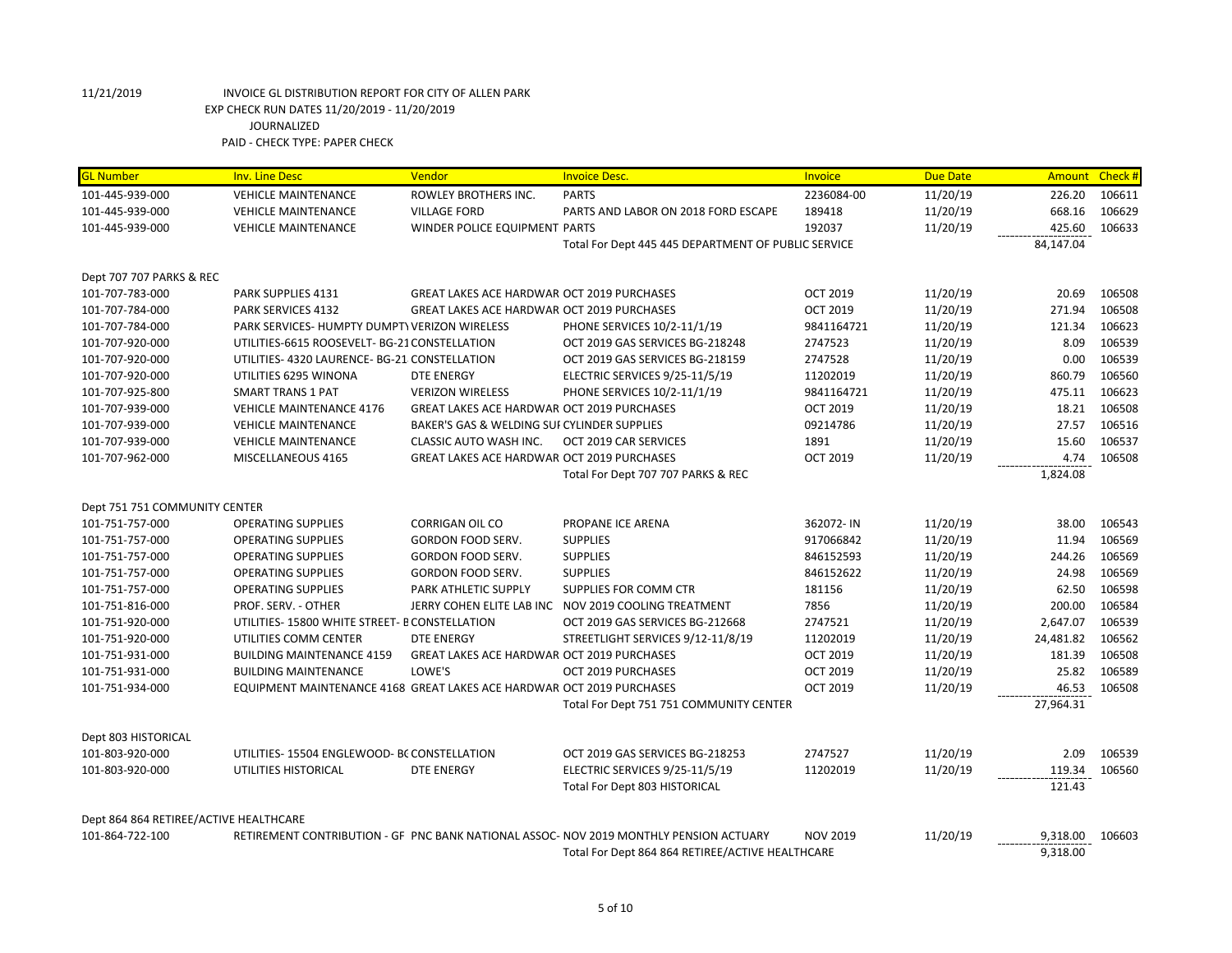| <b>GL Number</b>                       | <b>Inv. Line Desc</b>                                                 | Vendor                                            | <b>Invoice Desc.</b>                                                                   | Invoice         | <b>Due Date</b> | Amount Check # |        |
|----------------------------------------|-----------------------------------------------------------------------|---------------------------------------------------|----------------------------------------------------------------------------------------|-----------------|-----------------|----------------|--------|
| 101-445-939-000                        | <b>VEHICLE MAINTENANCE</b>                                            | ROWLEY BROTHERS INC.                              | <b>PARTS</b>                                                                           | 2236084-00      | 11/20/19        | 226.20         | 106611 |
| 101-445-939-000                        | <b>VEHICLE MAINTENANCE</b>                                            | <b>VILLAGE FORD</b>                               | PARTS AND LABOR ON 2018 FORD ESCAPE                                                    | 189418          | 11/20/19        | 668.16         | 106629 |
| 101-445-939-000                        | <b>VEHICLE MAINTENANCE</b>                                            | WINDER POLICE EQUIPMENT PARTS                     |                                                                                        | 192037          | 11/20/19        | 425.60         | 106633 |
|                                        |                                                                       |                                                   | Total For Dept 445 445 DEPARTMENT OF PUBLIC SERVICE                                    |                 |                 | 84,147.04      |        |
|                                        |                                                                       |                                                   |                                                                                        |                 |                 |                |        |
| Dept 707 707 PARKS & REC               |                                                                       |                                                   |                                                                                        |                 |                 |                |        |
| 101-707-783-000                        | PARK SUPPLIES 4131                                                    | <b>GREAT LAKES ACE HARDWAR OCT 2019 PURCHASES</b> |                                                                                        | <b>OCT 2019</b> | 11/20/19        | 20.69          | 106508 |
| 101-707-784-000                        | <b>PARK SERVICES 4132</b>                                             | <b>GREAT LAKES ACE HARDWAR OCT 2019 PURCHASES</b> |                                                                                        | <b>OCT 2019</b> | 11/20/19        | 271.94         | 106508 |
| 101-707-784-000                        | PARK SERVICES- HUMPTY DUMPTY VERIZON WIRELESS                         |                                                   | PHONE SERVICES 10/2-11/1/19                                                            | 9841164721      | 11/20/19        | 121.34         | 106623 |
| 101-707-920-000                        | UTILITIES-6615 ROOSEVELT- BG-21 CONSTELLATION                         |                                                   | OCT 2019 GAS SERVICES BG-218248                                                        | 2747523         | 11/20/19        | 8.09           | 106539 |
| 101-707-920-000                        | UTILITIES- 4320 LAURENCE- BG-21 CONSTELLATION                         |                                                   | OCT 2019 GAS SERVICES BG-218159                                                        | 2747528         | 11/20/19        | 0.00           | 106539 |
| 101-707-920-000                        | UTILITIES 6295 WINONA                                                 | <b>DTE ENERGY</b>                                 | ELECTRIC SERVICES 9/25-11/5/19                                                         | 11202019        | 11/20/19        | 860.79         | 106560 |
| 101-707-925-800                        | <b>SMART TRANS 1 PAT</b>                                              | <b>VERIZON WIRELESS</b>                           | PHONE SERVICES 10/2-11/1/19                                                            | 9841164721      | 11/20/19        | 475.11         | 106623 |
| 101-707-939-000                        | <b>VEHICLE MAINTENANCE 4176</b>                                       | <b>GREAT LAKES ACE HARDWAR OCT 2019 PURCHASES</b> |                                                                                        | <b>OCT 2019</b> | 11/20/19        | 18.21          | 106508 |
| 101-707-939-000                        | <b>VEHICLE MAINTENANCE</b>                                            | BAKER'S GAS & WELDING SUI CYLINDER SUPPLIES       |                                                                                        | 09214786        | 11/20/19        | 27.57          | 106516 |
| 101-707-939-000                        | <b>VEHICLE MAINTENANCE</b>                                            | <b>CLASSIC AUTO WASH INC.</b>                     | OCT 2019 CAR SERVICES                                                                  | 1891            | 11/20/19        | 15.60          | 106537 |
| 101-707-962-000                        | MISCELLANEOUS 4165                                                    | <b>GREAT LAKES ACE HARDWAR OCT 2019 PURCHASES</b> |                                                                                        | <b>OCT 2019</b> | 11/20/19        | 4.74           | 106508 |
|                                        |                                                                       |                                                   | Total For Dept 707 707 PARKS & REC                                                     |                 |                 | 1,824.08       |        |
|                                        |                                                                       |                                                   |                                                                                        |                 |                 |                |        |
| Dept 751 751 COMMUNITY CENTER          |                                                                       |                                                   |                                                                                        |                 |                 |                |        |
| 101-751-757-000                        | <b>OPERATING SUPPLIES</b>                                             | CORRIGAN OIL CO                                   | PROPANE ICE ARENA                                                                      | 362072-IN       | 11/20/19        | 38.00          | 106543 |
| 101-751-757-000                        | <b>OPERATING SUPPLIES</b>                                             | GORDON FOOD SERV.                                 | <b>SUPPLIES</b>                                                                        | 917066842       | 11/20/19        | 11.94          | 106569 |
| 101-751-757-000                        | <b>OPERATING SUPPLIES</b>                                             | GORDON FOOD SERV.                                 | <b>SUPPLIES</b>                                                                        | 846152593       | 11/20/19        | 244.26         | 106569 |
| 101-751-757-000                        | <b>OPERATING SUPPLIES</b>                                             | GORDON FOOD SERV.                                 | <b>SUPPLIES</b>                                                                        | 846152622       | 11/20/19        | 24.98          | 106569 |
| 101-751-757-000                        | <b>OPERATING SUPPLIES</b>                                             | PARK ATHLETIC SUPPLY                              | SUPPLIES FOR COMM CTR                                                                  | 181156          | 11/20/19        | 62.50          | 106598 |
| 101-751-816-000                        | PROF. SERV. - OTHER                                                   |                                                   | JERRY COHEN ELITE LAB INC NOV 2019 COOLING TREATMENT                                   | 7856            | 11/20/19        | 200.00         | 106584 |
| 101-751-920-000                        | UTILITIES-15800 WHITE STREET- B CONSTELLATION                         |                                                   | OCT 2019 GAS SERVICES BG-212668                                                        | 2747521         | 11/20/19        | 2,647.07       | 106539 |
| 101-751-920-000                        | UTILITIES COMM CENTER                                                 | DTE ENERGY                                        | STREETLIGHT SERVICES 9/12-11/8/19                                                      | 11202019        | 11/20/19        | 24,481.82      | 106562 |
| 101-751-931-000                        | <b>BUILDING MAINTENANCE 4159</b>                                      | <b>GREAT LAKES ACE HARDWAR OCT 2019 PURCHASES</b> |                                                                                        | <b>OCT 2019</b> | 11/20/19        | 181.39         | 106508 |
| 101-751-931-000                        | <b>BUILDING MAINTENANCE</b>                                           | LOWE'S                                            | OCT 2019 PURCHASES                                                                     | <b>OCT 2019</b> | 11/20/19        | 25.82          | 106589 |
| 101-751-934-000                        | EQUIPMENT MAINTENANCE 4168 GREAT LAKES ACE HARDWAR OCT 2019 PURCHASES |                                                   |                                                                                        | <b>OCT 2019</b> | 11/20/19        | 46.53          | 106508 |
|                                        |                                                                       |                                                   | Total For Dept 751 751 COMMUNITY CENTER                                                |                 |                 | 27,964.31      |        |
| Dept 803 HISTORICAL                    |                                                                       |                                                   |                                                                                        |                 |                 |                |        |
| 101-803-920-000                        | UTILITIES-15504 ENGLEWOOD- BC CONSTELLATION                           |                                                   | OCT 2019 GAS SERVICES BG-218253                                                        | 2747527         | 11/20/19        | 2.09           | 106539 |
| 101-803-920-000                        | UTILITIES HISTORICAL                                                  | <b>DTE ENERGY</b>                                 | ELECTRIC SERVICES 9/25-11/5/19                                                         | 11202019        | 11/20/19        | 119.34         | 106560 |
|                                        |                                                                       |                                                   | Total For Dept 803 HISTORICAL                                                          |                 |                 | 121.43         |        |
|                                        |                                                                       |                                                   |                                                                                        |                 |                 |                |        |
| Dept 864 864 RETIREE/ACTIVE HEALTHCARE |                                                                       |                                                   |                                                                                        |                 |                 |                |        |
| 101-864-722-100                        |                                                                       |                                                   | RETIREMENT CONTRIBUTION - GF PNC BANK NATIONAL ASSOC- NOV 2019 MONTHLY PENSION ACTUARY | <b>NOV 2019</b> | 11/20/19        | 9,318.00       | 106603 |
|                                        |                                                                       |                                                   | Total For Dept 864 864 RETIREE/ACTIVE HEALTHCARE                                       |                 |                 | 9,318.00       |        |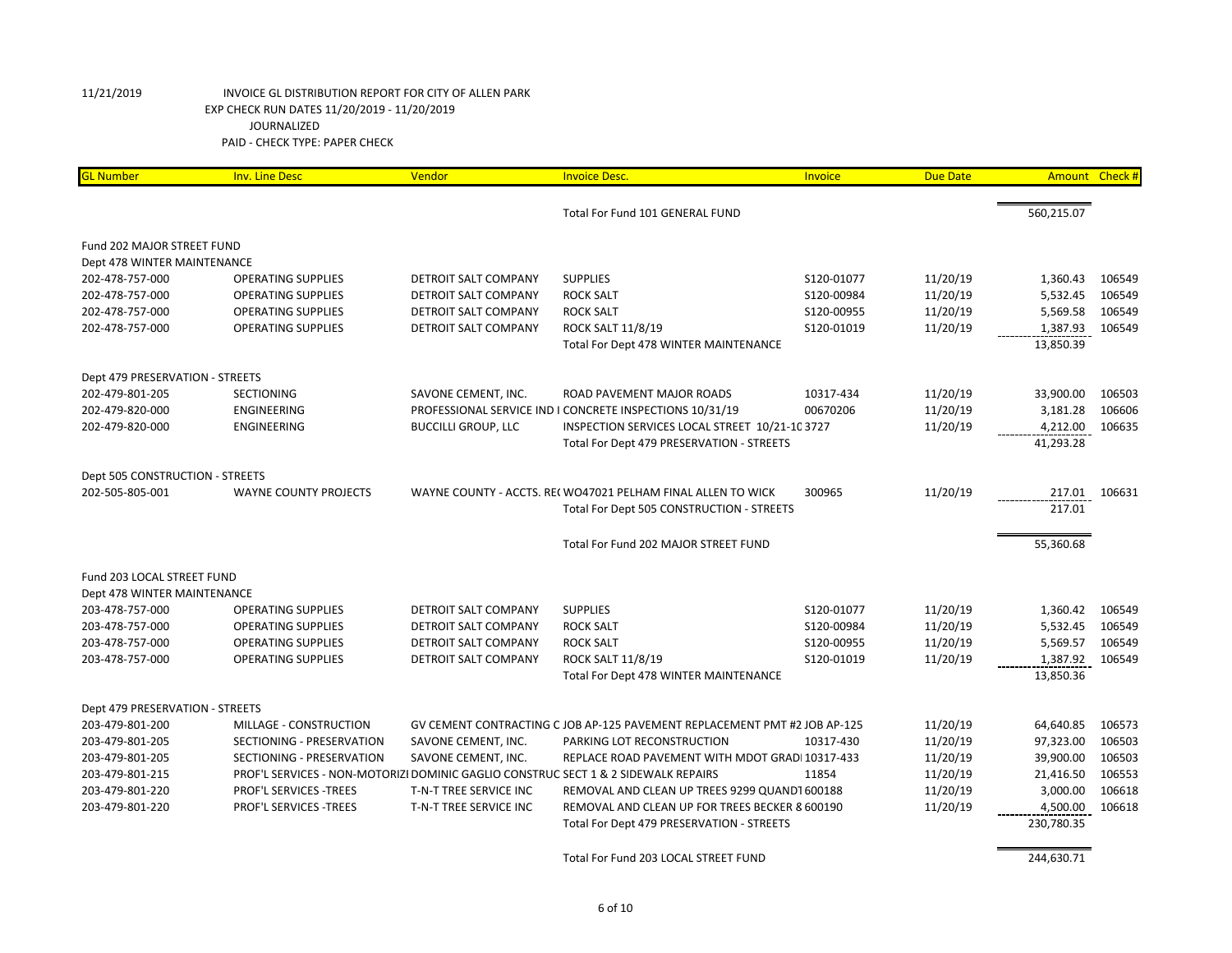| <b>GL Number</b>                | <b>Inv. Line Desc</b>                                                              | Vendor                      | <b>Invoice Desc.</b>                                                      | Invoice    | <b>Due Date</b> | Amount Check # |        |
|---------------------------------|------------------------------------------------------------------------------------|-----------------------------|---------------------------------------------------------------------------|------------|-----------------|----------------|--------|
|                                 |                                                                                    |                             | Total For Fund 101 GENERAL FUND                                           |            |                 | 560,215.07     |        |
| Fund 202 MAJOR STREET FUND      |                                                                                    |                             |                                                                           |            |                 |                |        |
| Dept 478 WINTER MAINTENANCE     |                                                                                    |                             |                                                                           |            |                 |                |        |
| 202-478-757-000                 | <b>OPERATING SUPPLIES</b>                                                          | DETROIT SALT COMPANY        | <b>SUPPLIES</b>                                                           | S120-01077 | 11/20/19        | 1,360.43       | 106549 |
| 202-478-757-000                 | <b>OPERATING SUPPLIES</b>                                                          | <b>DETROIT SALT COMPANY</b> | <b>ROCK SALT</b>                                                          | S120-00984 | 11/20/19        | 5,532.45       | 106549 |
| 202-478-757-000                 | <b>OPERATING SUPPLIES</b>                                                          | DETROIT SALT COMPANY        | <b>ROCK SALT</b>                                                          | S120-00955 | 11/20/19        | 5,569.58       | 106549 |
| 202-478-757-000                 | <b>OPERATING SUPPLIES</b>                                                          | DETROIT SALT COMPANY        | ROCK SALT 11/8/19                                                         | S120-01019 | 11/20/19        | 1,387.93       | 106549 |
|                                 |                                                                                    |                             | Total For Dept 478 WINTER MAINTENANCE                                     |            |                 | 13,850.39      |        |
| Dept 479 PRESERVATION - STREETS |                                                                                    |                             |                                                                           |            |                 |                |        |
| 202-479-801-205                 | <b>SECTIONING</b>                                                                  | SAVONE CEMENT, INC.         | ROAD PAVEMENT MAJOR ROADS                                                 | 10317-434  | 11/20/19        | 33,900.00      | 106503 |
| 202-479-820-000                 | ENGINEERING                                                                        |                             | PROFESSIONAL SERVICE IND I CONCRETE INSPECTIONS 10/31/19                  | 00670206   | 11/20/19        | 3,181.28       | 106606 |
| 202-479-820-000                 | ENGINEERING                                                                        | <b>BUCCILLI GROUP, LLC</b>  | INSPECTION SERVICES LOCAL STREET 10/21-10 3727                            |            | 11/20/19        | 4,212.00       | 106635 |
|                                 |                                                                                    |                             | Total For Dept 479 PRESERVATION - STREETS                                 |            |                 | 41,293.28      |        |
| Dept 505 CONSTRUCTION - STREETS |                                                                                    |                             |                                                                           |            |                 |                |        |
| 202-505-805-001                 | WAYNE COUNTY PROJECTS                                                              |                             | WAYNE COUNTY - ACCTS. REI WO47021 PELHAM FINAL ALLEN TO WICK              | 300965     | 11/20/19        | 217.01         | 106631 |
|                                 |                                                                                    |                             | Total For Dept 505 CONSTRUCTION - STREETS                                 |            |                 | 217.01         |        |
|                                 |                                                                                    |                             | Total For Fund 202 MAJOR STREET FUND                                      |            |                 | 55,360.68      |        |
| Fund 203 LOCAL STREET FUND      |                                                                                    |                             |                                                                           |            |                 |                |        |
| Dept 478 WINTER MAINTENANCE     |                                                                                    |                             |                                                                           |            |                 |                |        |
| 203-478-757-000                 | <b>OPERATING SUPPLIES</b>                                                          | DETROIT SALT COMPANY        | <b>SUPPLIES</b>                                                           | S120-01077 | 11/20/19        | 1,360.42       | 106549 |
| 203-478-757-000                 | <b>OPERATING SUPPLIES</b>                                                          | DETROIT SALT COMPANY        | <b>ROCK SALT</b>                                                          | S120-00984 | 11/20/19        | 5,532.45       | 106549 |
| 203-478-757-000                 | <b>OPERATING SUPPLIES</b>                                                          | DETROIT SALT COMPANY        | <b>ROCK SALT</b>                                                          | S120-00955 | 11/20/19        | 5,569.57       | 106549 |
| 203-478-757-000                 | <b>OPERATING SUPPLIES</b>                                                          | <b>DETROIT SALT COMPANY</b> | ROCK SALT 11/8/19                                                         | S120-01019 | 11/20/19        | 1,387.92       | 106549 |
|                                 |                                                                                    |                             | Total For Dept 478 WINTER MAINTENANCE                                     |            |                 | 13,850.36      |        |
| Dept 479 PRESERVATION - STREETS |                                                                                    |                             |                                                                           |            |                 |                |        |
| 203-479-801-200                 | MILLAGE - CONSTRUCTION                                                             |                             | GV CEMENT CONTRACTING C JOB AP-125 PAVEMENT REPLACEMENT PMT #2 JOB AP-125 |            | 11/20/19        | 64,640.85      | 106573 |
| 203-479-801-205                 | SECTIONING - PRESERVATION                                                          | SAVONE CEMENT, INC.         | PARKING LOT RECONSTRUCTION                                                | 10317-430  | 11/20/19        | 97,323.00      | 106503 |
| 203-479-801-205                 | SECTIONING - PRESERVATION                                                          | SAVONE CEMENT, INC.         | REPLACE ROAD PAVEMENT WITH MDOT GRADI 10317-433                           |            | 11/20/19        | 39,900.00      | 106503 |
| 203-479-801-215                 | PROF'L SERVICES - NON-MOTORIZI DOMINIC GAGLIO CONSTRUC SECT 1 & 2 SIDEWALK REPAIRS |                             |                                                                           | 11854      | 11/20/19        | 21,416.50      | 106553 |
| 203-479-801-220                 | PROF'L SERVICES - TREES                                                            | T-N-T TREE SERVICE INC      | REMOVAL AND CLEAN UP TREES 9299 QUANDT 600188                             |            | 11/20/19        | 3,000.00       | 106618 |
| 203-479-801-220                 | PROF'L SERVICES -TREES                                                             | T-N-T TREE SERVICE INC      | REMOVAL AND CLEAN UP FOR TREES BECKER 8 600190                            |            | 11/20/19        | 4,500.00       | 106618 |
|                                 |                                                                                    |                             | Total For Dept 479 PRESERVATION - STREETS                                 |            |                 | 230,780.35     |        |
|                                 |                                                                                    |                             | Total For Fund 203 LOCAL STREET FUND                                      |            |                 | 244,630.71     |        |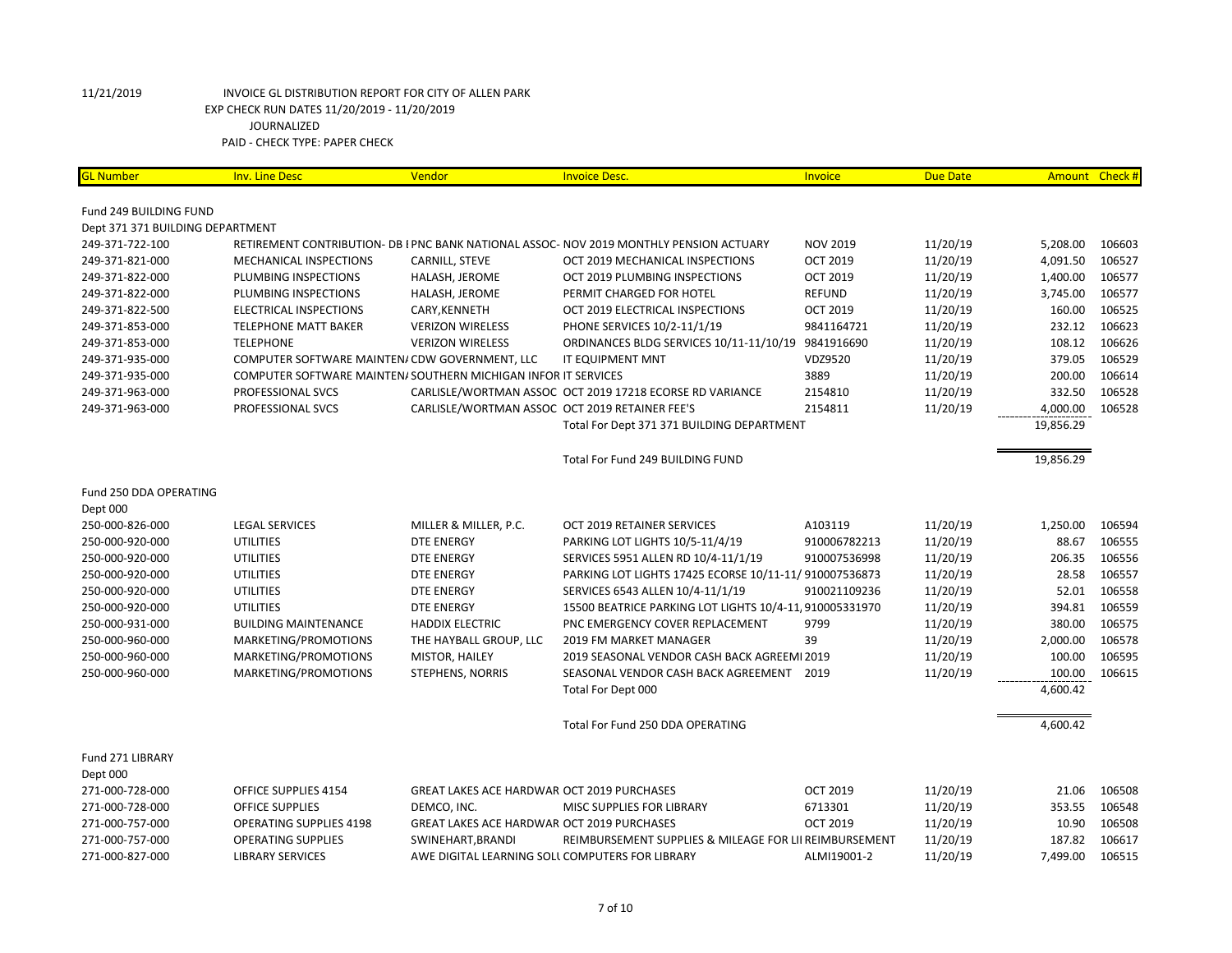| <b>GL Number</b>                 | <b>Inv. Line Desc</b>                          | Vendor                                                         | <b>Invoice Desc.</b>                                                                    | <b>Invoice</b>  | <b>Due Date</b> |           | Amount Check # |
|----------------------------------|------------------------------------------------|----------------------------------------------------------------|-----------------------------------------------------------------------------------------|-----------------|-----------------|-----------|----------------|
| Fund 249 BUILDING FUND           |                                                |                                                                |                                                                                         |                 |                 |           |                |
| Dept 371 371 BUILDING DEPARTMENT |                                                |                                                                |                                                                                         |                 |                 |           |                |
| 249-371-722-100                  |                                                |                                                                | RETIREMENT CONTRIBUTION- DB I PNC BANK NATIONAL ASSOC- NOV 2019 MONTHLY PENSION ACTUARY | <b>NOV 2019</b> | 11/20/19        | 5,208.00  | 106603         |
| 249-371-821-000                  | MECHANICAL INSPECTIONS                         | CARNILL, STEVE                                                 | OCT 2019 MECHANICAL INSPECTIONS                                                         | <b>OCT 2019</b> | 11/20/19        | 4,091.50  | 106527         |
| 249-371-822-000                  | PLUMBING INSPECTIONS                           | HALASH, JEROME                                                 | OCT 2019 PLUMBING INSPECTIONS                                                           | <b>OCT 2019</b> | 11/20/19        | 1,400.00  | 106577         |
| 249-371-822-000                  | PLUMBING INSPECTIONS                           | HALASH, JEROME                                                 | PERMIT CHARGED FOR HOTEL                                                                | <b>REFUND</b>   | 11/20/19        | 3,745.00  | 106577         |
| 249-371-822-500                  | <b>ELECTRICAL INSPECTIONS</b>                  | CARY, KENNETH                                                  | OCT 2019 ELECTRICAL INSPECTIONS                                                         | <b>OCT 2019</b> | 11/20/19        | 160.00    | 106525         |
| 249-371-853-000                  | <b>TELEPHONE MATT BAKER</b>                    | <b>VERIZON WIRELESS</b>                                        | PHONE SERVICES 10/2-11/1/19                                                             | 9841164721      | 11/20/19        | 232.12    | 106623         |
| 249-371-853-000                  | <b>TELEPHONE</b>                               | <b>VERIZON WIRELESS</b>                                        | ORDINANCES BLDG SERVICES 10/11-11/10/19                                                 | 9841916690      | 11/20/19        | 108.12    | 106626         |
| 249-371-935-000                  | COMPUTER SOFTWARE MAINTEN/ CDW GOVERNMENT, LLC |                                                                | <b>IT EQUIPMENT MNT</b>                                                                 | VDZ9520         | 11/20/19        | 379.05    | 106529         |
| 249-371-935-000                  |                                                | COMPUTER SOFTWARE MAINTEN/ SOUTHERN MICHIGAN INFOR IT SERVICES |                                                                                         | 3889            | 11/20/19        | 200.00    | 106614         |
| 249-371-963-000                  | PROFESSIONAL SVCS                              |                                                                | CARLISLE/WORTMAN ASSOC OCT 2019 17218 ECORSE RD VARIANCE                                | 2154810         | 11/20/19        | 332.50    | 106528         |
| 249-371-963-000                  | PROFESSIONAL SVCS                              | CARLISLE/WORTMAN ASSOC OCT 2019 RETAINER FEE'S                 |                                                                                         | 2154811         | 11/20/19        | 4,000.00  | 106528         |
|                                  |                                                |                                                                | Total For Dept 371 371 BUILDING DEPARTMENT                                              |                 |                 | 19,856.29 |                |
|                                  |                                                |                                                                |                                                                                         |                 |                 |           |                |
|                                  |                                                |                                                                | Total For Fund 249 BUILDING FUND                                                        |                 |                 | 19,856.29 |                |
| Fund 250 DDA OPERATING           |                                                |                                                                |                                                                                         |                 |                 |           |                |
| Dept 000                         |                                                |                                                                |                                                                                         |                 |                 |           |                |
| 250-000-826-000                  | <b>LEGAL SERVICES</b>                          | MILLER & MILLER, P.C.                                          | OCT 2019 RETAINER SERVICES                                                              | A103119         | 11/20/19        | 1,250.00  | 106594         |
| 250-000-920-000                  | <b>UTILITIES</b>                               | DTE ENERGY                                                     | PARKING LOT LIGHTS 10/5-11/4/19                                                         | 910006782213    | 11/20/19        | 88.67     | 106555         |
| 250-000-920-000                  | <b>UTILITIES</b>                               | <b>DTE ENERGY</b>                                              | SERVICES 5951 ALLEN RD 10/4-11/1/19                                                     | 910007536998    | 11/20/19        | 206.35    | 106556         |
| 250-000-920-000                  | <b>UTILITIES</b>                               | <b>DTE ENERGY</b>                                              | PARKING LOT LIGHTS 17425 ECORSE 10/11-11/ 910007536873                                  |                 | 11/20/19        | 28.58     | 106557         |
| 250-000-920-000                  | <b>UTILITIES</b>                               | DTE ENERGY                                                     | SERVICES 6543 ALLEN 10/4-11/1/19                                                        | 910021109236    | 11/20/19        | 52.01     | 106558         |
| 250-000-920-000                  | <b>UTILITIES</b>                               | <b>DTE ENERGY</b>                                              | 15500 BEATRICE PARKING LOT LIGHTS 10/4-11 910005331970                                  |                 | 11/20/19        | 394.81    | 106559         |
| 250-000-931-000                  | <b>BUILDING MAINTENANCE</b>                    | <b>HADDIX ELECTRIC</b>                                         | PNC EMERGENCY COVER REPLACEMENT                                                         | 9799            | 11/20/19        | 380.00    | 106575         |
| 250-000-960-000                  | MARKETING/PROMOTIONS                           | THE HAYBALL GROUP, LLC                                         | 2019 FM MARKET MANAGER                                                                  | 39              | 11/20/19        | 2,000.00  | 106578         |
| 250-000-960-000                  | MARKETING/PROMOTIONS                           | MISTOR, HAILEY                                                 | 2019 SEASONAL VENDOR CASH BACK AGREEMI 2019                                             |                 | 11/20/19        | 100.00    | 106595         |
| 250-000-960-000                  | MARKETING/PROMOTIONS                           | <b>STEPHENS, NORRIS</b>                                        | SEASONAL VENDOR CASH BACK AGREEMENT 2019                                                |                 | 11/20/19        | 100.00    | 106615         |
|                                  |                                                |                                                                | Total For Dept 000                                                                      |                 |                 | 4,600.42  |                |
|                                  |                                                |                                                                | Total For Fund 250 DDA OPERATING                                                        |                 |                 | 4,600.42  |                |
| Fund 271 LIBRARY                 |                                                |                                                                |                                                                                         |                 |                 |           |                |
| Dept 000                         |                                                |                                                                |                                                                                         |                 |                 |           |                |
| 271-000-728-000                  | OFFICE SUPPLIES 4154                           | <b>GREAT LAKES ACE HARDWAR OCT 2019 PURCHASES</b>              |                                                                                         | <b>OCT 2019</b> | 11/20/19        | 21.06     | 106508         |
| 271-000-728-000                  | <b>OFFICE SUPPLIES</b>                         | DEMCO, INC.                                                    | MISC SUPPLIES FOR LIBRARY                                                               | 6713301         | 11/20/19        | 353.55    | 106548         |
| 271-000-757-000                  | <b>OPERATING SUPPLIES 4198</b>                 | GREAT LAKES ACE HARDWAR OCT 2019 PURCHASES                     |                                                                                         | <b>OCT 2019</b> | 11/20/19        | 10.90     | 106508         |
| 271-000-757-000                  | <b>OPERATING SUPPLIES</b>                      | SWINEHART, BRANDI                                              | REIMBURSEMENT SUPPLIES & MILEAGE FOR LII REIMBURSEMENT                                  |                 | 11/20/19        | 187.82    | 106617         |
| 271-000-827-000                  | <b>LIBRARY SERVICES</b>                        | AWE DIGITAL LEARNING SOLL COMPUTERS FOR LIBRARY                |                                                                                         | ALMI19001-2     | 11/20/19        | 7,499.00  | 106515         |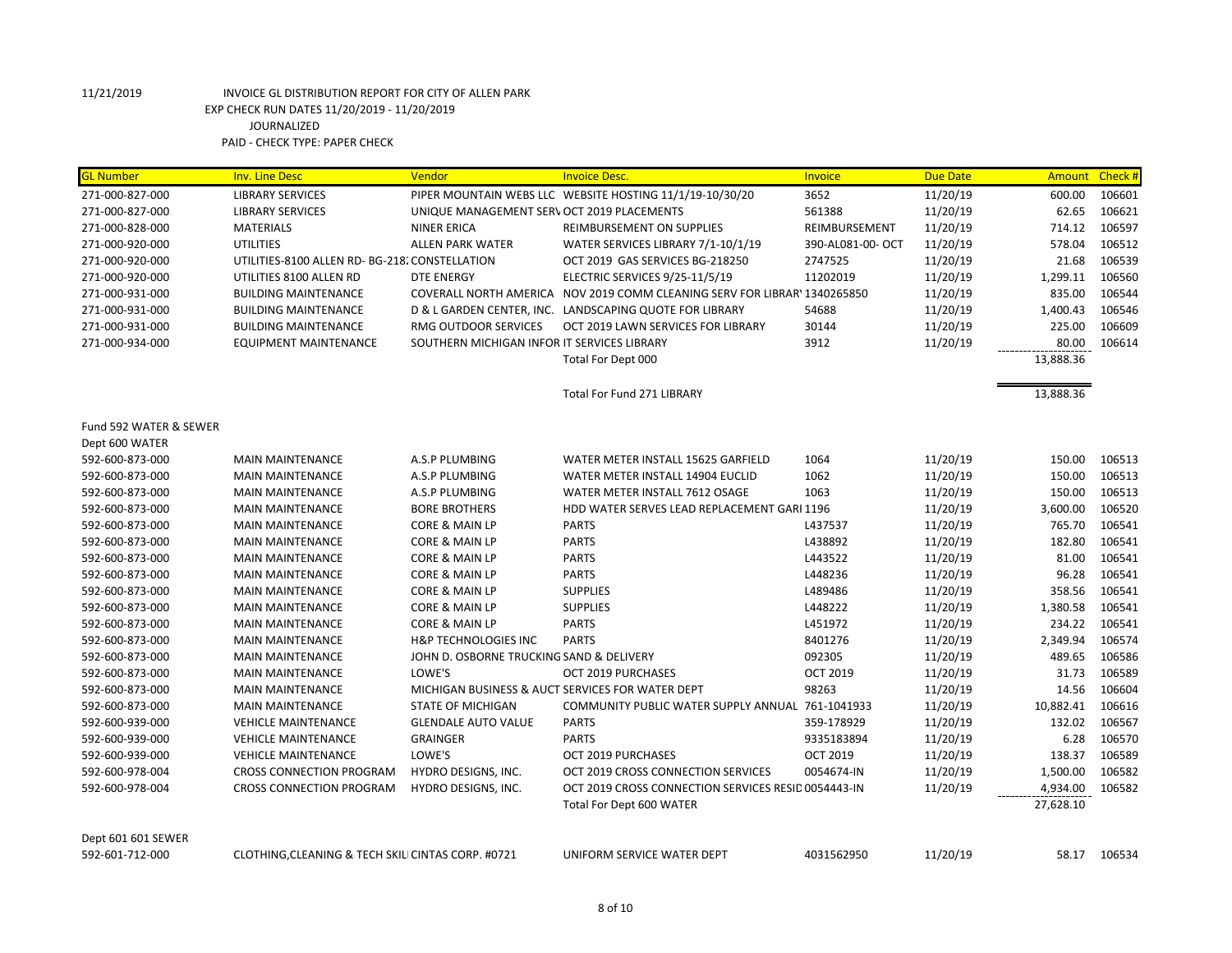| <b>GL Number</b>       | <b>Inv. Line Desc</b>                            | Vendor                                           | <b>Invoice Desc.</b>                                                      | Invoice           | <b>Due Date</b> | <b>Amount</b> | Check # |
|------------------------|--------------------------------------------------|--------------------------------------------------|---------------------------------------------------------------------------|-------------------|-----------------|---------------|---------|
| 271-000-827-000        | <b>LIBRARY SERVICES</b>                          |                                                  | PIPER MOUNTAIN WEBS LLC WEBSITE HOSTING 11/1/19-10/30/20                  | 3652              | 11/20/19        | 600.00        | 106601  |
| 271-000-827-000        | <b>LIBRARY SERVICES</b>                          | UNIQUE MANAGEMENT SERV OCT 2019 PLACEMENTS       |                                                                           | 561388            | 11/20/19        | 62.65         | 106621  |
| 271-000-828-000        | <b>MATERIALS</b>                                 | <b>NINER ERICA</b>                               | REIMBURSEMENT ON SUPPLIES                                                 | REIMBURSEMENT     | 11/20/19        | 714.12        | 106597  |
| 271-000-920-000        | <b>UTILITIES</b>                                 | <b>ALLEN PARK WATER</b>                          | WATER SERVICES LIBRARY 7/1-10/1/19                                        | 390-AL081-00- OCT | 11/20/19        | 578.04        | 106512  |
| 271-000-920-000        | UTILITIES-8100 ALLEN RD- BG-218. CONSTELLATION   |                                                  | OCT 2019 GAS SERVICES BG-218250                                           | 2747525           | 11/20/19        | 21.68         | 106539  |
| 271-000-920-000        | UTILITIES 8100 ALLEN RD                          | <b>DTE ENERGY</b>                                | ELECTRIC SERVICES 9/25-11/5/19                                            | 11202019          | 11/20/19        | 1,299.11      | 106560  |
| 271-000-931-000        | <b>BUILDING MAINTENANCE</b>                      |                                                  | COVERALL NORTH AMERICA NOV 2019 COMM CLEANING SERV FOR LIBRAR' 1340265850 |                   | 11/20/19        | 835.00        | 106544  |
| 271-000-931-000        | <b>BUILDING MAINTENANCE</b>                      |                                                  | D & L GARDEN CENTER, INC. LANDSCAPING QUOTE FOR LIBRARY                   | 54688             | 11/20/19        | 1,400.43      | 106546  |
| 271-000-931-000        | <b>BUILDING MAINTENANCE</b>                      | RMG OUTDOOR SERVICES                             | OCT 2019 LAWN SERVICES FOR LIBRARY                                        | 30144             | 11/20/19        | 225.00        | 106609  |
| 271-000-934-000        | <b>EQUIPMENT MAINTENANCE</b>                     | SOUTHERN MICHIGAN INFOR IT SERVICES LIBRARY      |                                                                           | 3912              | 11/20/19        | 80.00         | 106614  |
|                        |                                                  |                                                  | Total For Dept 000                                                        |                   |                 | 13,888.36     |         |
|                        |                                                  |                                                  | Total For Fund 271 LIBRARY                                                |                   |                 | 13,888.36     |         |
| Fund 592 WATER & SEWER |                                                  |                                                  |                                                                           |                   |                 |               |         |
| Dept 600 WATER         |                                                  |                                                  |                                                                           |                   |                 |               |         |
| 592-600-873-000        | <b>MAIN MAINTENANCE</b>                          | A.S.P PLUMBING                                   | WATER METER INSTALL 15625 GARFIELD                                        | 1064              | 11/20/19        | 150.00        | 106513  |
| 592-600-873-000        | <b>MAIN MAINTENANCE</b>                          | A.S.P PLUMBING                                   | WATER METER INSTALL 14904 EUCLID                                          | 1062              | 11/20/19        | 150.00        | 106513  |
| 592-600-873-000        | <b>MAIN MAINTENANCE</b>                          | A.S.P PLUMBING                                   | WATER METER INSTALL 7612 OSAGE                                            | 1063              | 11/20/19        | 150.00        | 106513  |
| 592-600-873-000        | <b>MAIN MAINTENANCE</b>                          | <b>BORE BROTHERS</b>                             | HDD WATER SERVES LEAD REPLACEMENT GARI 1196                               |                   | 11/20/19        | 3,600.00      | 106520  |
| 592-600-873-000        | <b>MAIN MAINTENANCE</b>                          | <b>CORE &amp; MAIN LP</b>                        | <b>PARTS</b>                                                              | L437537           | 11/20/19        | 765.70        | 106541  |
| 592-600-873-000        | <b>MAIN MAINTENANCE</b>                          | <b>CORE &amp; MAIN LP</b>                        | <b>PARTS</b>                                                              | L438892           | 11/20/19        | 182.80        | 106541  |
| 592-600-873-000        | <b>MAIN MAINTENANCE</b>                          | <b>CORE &amp; MAIN LP</b>                        | <b>PARTS</b>                                                              | L443522           | 11/20/19        | 81.00         | 106541  |
| 592-600-873-000        | <b>MAIN MAINTENANCE</b>                          | CORE & MAIN LP                                   | <b>PARTS</b>                                                              | L448236           | 11/20/19        | 96.28         | 106541  |
| 592-600-873-000        | <b>MAIN MAINTENANCE</b>                          | CORE & MAIN LP                                   | <b>SUPPLIES</b>                                                           | L489486           | 11/20/19        | 358.56        | 106541  |
| 592-600-873-000        | <b>MAIN MAINTENANCE</b>                          | <b>CORE &amp; MAIN LP</b>                        | <b>SUPPLIES</b>                                                           | L448222           | 11/20/19        | 1,380.58      | 106541  |
| 592-600-873-000        | <b>MAIN MAINTENANCE</b>                          | CORE & MAIN LP                                   | <b>PARTS</b>                                                              | L451972           | 11/20/19        | 234.22        | 106541  |
| 592-600-873-000        | <b>MAIN MAINTENANCE</b>                          | <b>H&amp;P TECHNOLOGIES INC</b>                  | <b>PARTS</b>                                                              | 8401276           | 11/20/19        | 2,349.94      | 106574  |
| 592-600-873-000        | <b>MAIN MAINTENANCE</b>                          | JOHN D. OSBORNE TRUCKING SAND & DELIVERY         |                                                                           | 092305            | 11/20/19        | 489.65        | 106586  |
| 592-600-873-000        | <b>MAIN MAINTENANCE</b>                          | LOWE'S                                           | OCT 2019 PURCHASES                                                        | <b>OCT 2019</b>   | 11/20/19        | 31.73         | 106589  |
| 592-600-873-000        | <b>MAIN MAINTENANCE</b>                          | MICHIGAN BUSINESS & AUCT SERVICES FOR WATER DEPT |                                                                           | 98263             | 11/20/19        | 14.56         | 106604  |
| 592-600-873-000        | <b>MAIN MAINTENANCE</b>                          | <b>STATE OF MICHIGAN</b>                         | COMMUNITY PUBLIC WATER SUPPLY ANNUAL 761-1041933                          |                   | 11/20/19        | 10,882.41     | 106616  |
| 592-600-939-000        | <b>VEHICLE MAINTENANCE</b>                       | <b>GLENDALE AUTO VALUE</b>                       | <b>PARTS</b>                                                              | 359-178929        | 11/20/19        | 132.02        | 106567  |
| 592-600-939-000        | <b>VEHICLE MAINTENANCE</b>                       | <b>GRAINGER</b>                                  | <b>PARTS</b>                                                              | 9335183894        | 11/20/19        | 6.28          | 106570  |
| 592-600-939-000        | <b>VEHICLE MAINTENANCE</b>                       | LOWE'S                                           | OCT 2019 PURCHASES                                                        | <b>OCT 2019</b>   | 11/20/19        | 138.37        | 106589  |
| 592-600-978-004        | <b>CROSS CONNECTION PROGRAM</b>                  | HYDRO DESIGNS, INC.                              | OCT 2019 CROSS CONNECTION SERVICES                                        | 0054674-IN        | 11/20/19        | 1,500.00      | 106582  |
| 592-600-978-004        | <b>CROSS CONNECTION PROGRAM</b>                  | HYDRO DESIGNS, INC.                              | OCT 2019 CROSS CONNECTION SERVICES RESID 0054443-IN                       |                   | 11/20/19        | 4,934.00      | 106582  |
|                        |                                                  |                                                  | Total For Dept 600 WATER                                                  |                   |                 | 27,628.10     |         |
| Dept 601 601 SEWER     |                                                  |                                                  |                                                                           |                   |                 |               |         |
| 592-601-712-000        | CLOTHING.CLEANING & TECH SKILICINTAS CORP. #0721 |                                                  | UNIFORM SERVICE WATER DEPT                                                | 4031562950        | 11/20/19        | 58.17         | 106534  |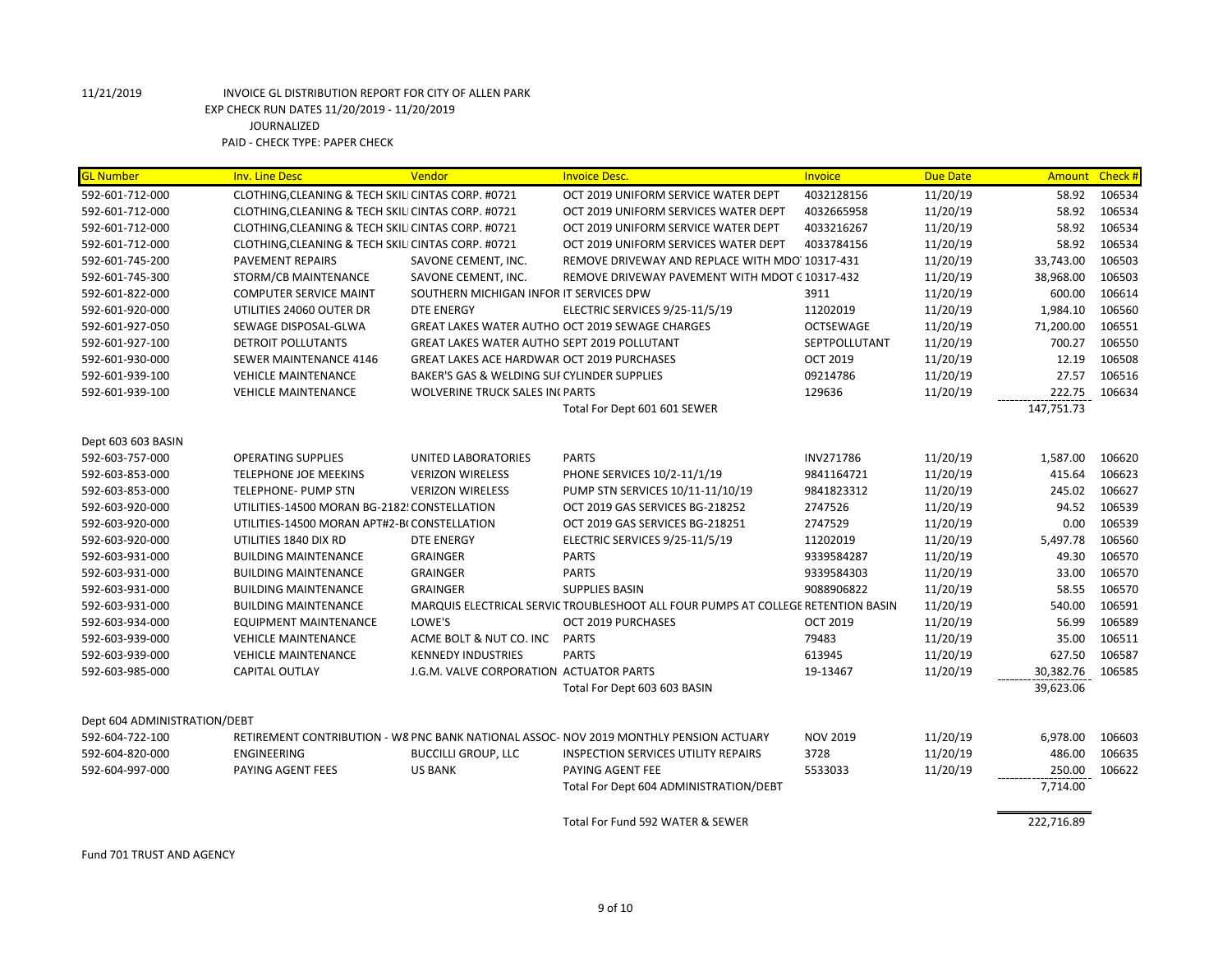| <b>GL Number</b>             | <b>Inv. Line Desc</b>                              | Vendor                                             | <b>Invoice Desc.</b>                                                                   | <b>Invoice</b>   | <b>Due Date</b> |            | Amount Check # |
|------------------------------|----------------------------------------------------|----------------------------------------------------|----------------------------------------------------------------------------------------|------------------|-----------------|------------|----------------|
| 592-601-712-000              | CLOTHING, CLEANING & TECH SKILI CINTAS CORP. #0721 |                                                    | OCT 2019 UNIFORM SERVICE WATER DEPT                                                    | 4032128156       | 11/20/19        | 58.92      | 106534         |
| 592-601-712-000              | CLOTHING, CLEANING & TECH SKILI CINTAS CORP. #0721 |                                                    | OCT 2019 UNIFORM SERVICES WATER DEPT                                                   | 4032665958       | 11/20/19        | 58.92      | 106534         |
| 592-601-712-000              | CLOTHING, CLEANING & TECH SKILI CINTAS CORP. #0721 |                                                    | OCT 2019 UNIFORM SERVICE WATER DEPT                                                    | 4033216267       | 11/20/19        | 58.92      | 106534         |
| 592-601-712-000              | CLOTHING, CLEANING & TECH SKILI CINTAS CORP. #0721 |                                                    | OCT 2019 UNIFORM SERVICES WATER DEPT                                                   | 4033784156       | 11/20/19        | 58.92      | 106534         |
| 592-601-745-200              | <b>PAVEMENT REPAIRS</b>                            | SAVONE CEMENT, INC.                                | REMOVE DRIVEWAY AND REPLACE WITH MDO 10317-431                                         |                  | 11/20/19        | 33,743.00  | 106503         |
| 592-601-745-300              | STORM/CB MAINTENANCE                               | SAVONE CEMENT, INC.                                | REMOVE DRIVEWAY PAVEMENT WITH MDOT C 10317-432                                         |                  | 11/20/19        | 38,968.00  | 106503         |
| 592-601-822-000              | <b>COMPUTER SERVICE MAINT</b>                      | SOUTHERN MICHIGAN INFOR IT SERVICES DPW            |                                                                                        | 3911             | 11/20/19        | 600.00     | 106614         |
| 592-601-920-000              | UTILITIES 24060 OUTER DR                           | <b>DTE ENERGY</b>                                  | ELECTRIC SERVICES 9/25-11/5/19                                                         | 11202019         | 11/20/19        | 1,984.10   | 106560         |
| 592-601-927-050              | SEWAGE DISPOSAL-GLWA                               |                                                    | GREAT LAKES WATER AUTHO OCT 2019 SEWAGE CHARGES                                        | <b>OCTSEWAGE</b> | 11/20/19        | 71,200.00  | 106551         |
| 592-601-927-100              | <b>DETROIT POLLUTANTS</b>                          | <b>GREAT LAKES WATER AUTHO SEPT 2019 POLLUTANT</b> |                                                                                        | SEPTPOLLUTANT    | 11/20/19        | 700.27     | 106550         |
| 592-601-930-000              | <b>SEWER MAINTENANCE 4146</b>                      | <b>GREAT LAKES ACE HARDWAR OCT 2019 PURCHASES</b>  |                                                                                        | <b>OCT 2019</b>  | 11/20/19        | 12.19      | 106508         |
| 592-601-939-100              | <b>VEHICLE MAINTENANCE</b>                         | BAKER'S GAS & WELDING SUI CYLINDER SUPPLIES        |                                                                                        | 09214786         | 11/20/19        | 27.57      | 106516         |
| 592-601-939-100              | <b>VEHICLE MAINTENANCE</b>                         | <b>WOLVERINE TRUCK SALES IN PARTS</b>              |                                                                                        | 129636           | 11/20/19        | 222.75     | 106634         |
|                              |                                                    |                                                    | Total For Dept 601 601 SEWER                                                           |                  |                 | 147,751.73 |                |
| Dept 603 603 BASIN           |                                                    |                                                    |                                                                                        |                  |                 |            |                |
| 592-603-757-000              | <b>OPERATING SUPPLIES</b>                          | <b>UNITED LABORATORIES</b>                         | <b>PARTS</b>                                                                           | INV271786        | 11/20/19        | 1,587.00   | 106620         |
| 592-603-853-000              | <b>TELEPHONE JOE MEEKINS</b>                       | <b>VERIZON WIRELESS</b>                            | PHONE SERVICES 10/2-11/1/19                                                            | 9841164721       | 11/20/19        | 415.64     | 106623         |
| 592-603-853-000              | TELEPHONE- PUMP STN                                | <b>VERIZON WIRELESS</b>                            | PUMP STN SERVICES 10/11-11/10/19                                                       | 9841823312       | 11/20/19        | 245.02     | 106627         |
| 592-603-920-000              | UTILITIES-14500 MORAN BG-2182! CONSTELLATION       |                                                    | OCT 2019 GAS SERVICES BG-218252                                                        | 2747526          | 11/20/19        | 94.52      | 106539         |
| 592-603-920-000              | UTILITIES-14500 MORAN APT#2-BI CONSTELLATION       |                                                    | OCT 2019 GAS SERVICES BG-218251                                                        | 2747529          | 11/20/19        | 0.00       | 106539         |
| 592-603-920-000              | UTILITIES 1840 DIX RD                              | <b>DTE ENERGY</b>                                  | ELECTRIC SERVICES 9/25-11/5/19                                                         | 11202019         | 11/20/19        | 5,497.78   | 106560         |
| 592-603-931-000              | <b>BUILDING MAINTENANCE</b>                        | <b>GRAINGER</b>                                    | <b>PARTS</b>                                                                           | 9339584287       | 11/20/19        | 49.30      | 106570         |
| 592-603-931-000              | <b>BUILDING MAINTENANCE</b>                        | <b>GRAINGER</b>                                    | <b>PARTS</b>                                                                           | 9339584303       | 11/20/19        | 33.00      | 106570         |
| 592-603-931-000              | <b>BUILDING MAINTENANCE</b>                        | <b>GRAINGER</b>                                    | <b>SUPPLIES BASIN</b>                                                                  | 9088906822       | 11/20/19        | 58.55      | 106570         |
| 592-603-931-000              | <b>BUILDING MAINTENANCE</b>                        |                                                    | MARQUIS ELECTRICAL SERVIC TROUBLESHOOT ALL FOUR PUMPS AT COLLEGE RETENTION BASIN       |                  | 11/20/19        | 540.00     | 106591         |
| 592-603-934-000              | <b>EQUIPMENT MAINTENANCE</b>                       | LOWE'S                                             | OCT 2019 PURCHASES                                                                     | <b>OCT 2019</b>  | 11/20/19        | 56.99      | 106589         |
| 592-603-939-000              | <b>VEHICLE MAINTENANCE</b>                         | ACME BOLT & NUT CO. INC PARTS                      |                                                                                        | 79483            | 11/20/19        | 35.00      | 106511         |
| 592-603-939-000              | <b>VEHICLE MAINTENANCE</b>                         | <b>KENNEDY INDUSTRIES</b>                          | <b>PARTS</b>                                                                           | 613945           | 11/20/19        | 627.50     | 106587         |
| 592-603-985-000              | <b>CAPITAL OUTLAY</b>                              | J.G.M. VALVE CORPORATION ACTUATOR PARTS            |                                                                                        | 19-13467         | 11/20/19        | 30,382.76  | 106585         |
|                              |                                                    |                                                    | Total For Dept 603 603 BASIN                                                           |                  |                 | 39,623.06  |                |
|                              |                                                    |                                                    |                                                                                        |                  |                 |            |                |
| Dept 604 ADMINISTRATION/DEBT |                                                    |                                                    |                                                                                        |                  |                 |            |                |
| 592-604-722-100              |                                                    |                                                    | RETIREMENT CONTRIBUTION - W8 PNC BANK NATIONAL ASSOC- NOV 2019 MONTHLY PENSION ACTUARY | <b>NOV 2019</b>  | 11/20/19        | 6,978.00   | 106603         |
| 592-604-820-000              | <b>ENGINEERING</b>                                 | <b>BUCCILLI GROUP, LLC</b>                         | <b>INSPECTION SERVICES UTILITY REPAIRS</b>                                             | 3728             | 11/20/19        | 486.00     | 106635         |
| 592-604-997-000              | PAYING AGENT FEES                                  | <b>US BANK</b>                                     | PAYING AGENT FEE                                                                       | 5533033          | 11/20/19        | 250.00     | 106622         |
|                              |                                                    |                                                    | Total For Dept 604 ADMINISTRATION/DEBT                                                 |                  |                 | 7,714.00   |                |
|                              |                                                    |                                                    | Total For Fund 592 WATER & SEWER                                                       |                  |                 | 222,716.89 |                |